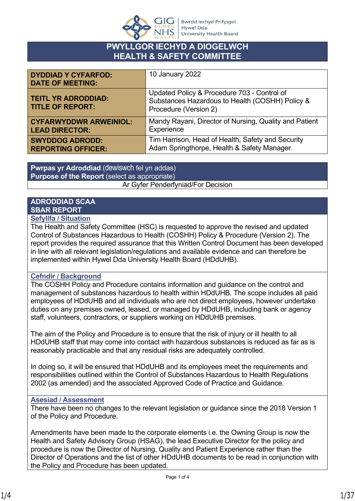

### **PWYLLGOR IECHYD A DIOGELWCH HEALTH & SAFETY COMMITTEE**

| <b>DYDDIAD Y CYFARFOD:</b><br><b>DATE OF MEETING:</b> | 10 January 2022                                                                                                         |
|-------------------------------------------------------|-------------------------------------------------------------------------------------------------------------------------|
| <b>TEITL YR ADRODDIAD:</b><br><b>TITLE OF REPORT:</b> | Updated Policy & Procedure 703 - Control of<br>Substances Hazardous to Health (COSHH) Policy &<br>Procedure (Version 2) |
| <b>CYFARWYDDWR ARWEINIOL:</b>                         | Mandy Rayani, Director of Nursing, Quality and Patient                                                                  |
| <b>LEAD DIRECTOR:</b>                                 | Experience                                                                                                              |
| <b>SWYDDOG ADRODD:</b>                                | Tim Harrison, Head of Health, Safety and Security                                                                       |
| <b>REPORTING OFFICER:</b>                             | Adam Springthorpe, Health & Safety Manager                                                                              |

**Pwrpas yr Adroddiad** (dewiswch fel yn addas) **Purpose of the Report** (select as appropriate) Ar Gyfer Penderfyniad/For Decision

### **ADRODDIAD SCAA SBAR REPORT**

#### **Sefyllfa / Situation**

The Health and Safety Committee (HSC) is requested to approve the revised and updated Control of Substances Hazardous to Health (COSHH) Policy & Procedure (Version 2). The report provides the required assurance that this Written Control Document has been developed in line with all relevant legislation/regulations and available evidence and can therefore be implemented within Hywel Dda University Health Board (HDdUHB).

#### **Cefndir / Background**

The COSHH Policy and Procedure contains information and guidance on the control and management of substances hazardous to health within HDdUHB. The scope includes all paid employees of HDdUHB and all individuals who are not direct employees, however undertake duties on any premises owned, leased, or managed by HDdUHB, including bank or agency staff, volunteers, contractors, or suppliers working on HDdUHB premises.

The aim of the Policy and Procedure is to ensure that the risk of injury or ill health to all HDdUHB staff that may come into contact with hazardous substances is reduced as far as is reasonably practicable and that any residual risks are adequately controlled.

In doing so, it will be ensured that HDdUHB and its employees meet the requirements and responsibilities outlined within the Control of Substances Hazardous to Health Regulations 2002 (as amended) and the associated Approved Code of Practice and Guidance.

#### **Asesiad / Assessment**

There have been no changes to the relevant legislation or guidance since the 2018 Version 1 of the Policy and Procedure.

Amendments have been made to the corporate elements i.e. the Owning Group is now the Health and Safety Advisory Group (HSAG), the lead Executive Director for the policy and procedure is now the Director of Nursing, Quality and Patient Experience rather than the Director of Operations and the list of other HDdUHB documents to be read in conjunction with the Policy and Procedure has been updated.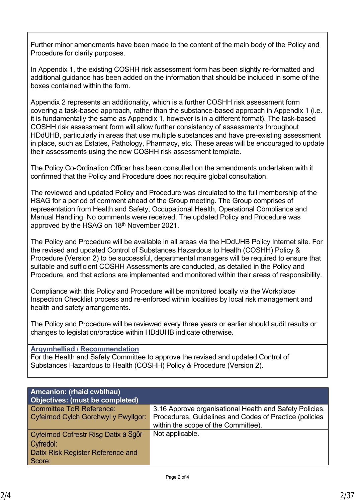Further minor amendments have been made to the content of the main body of the Policy and Procedure for clarity purposes.

In Appendix 1, the existing COSHH risk assessment form has been slightly re-formatted and additional guidance has been added on the information that should be included in some of the boxes contained within the form.

Appendix 2 represents an additionality, which is a further COSHH risk assessment form covering a task-based approach, rather than the substance-based approach in Appendix 1 (i.e. it is fundamentally the same as Appendix 1, however is in a different format). The task-based COSHH risk assessment form will allow further consistency of assessments throughout HDdUHB, particularly in areas that use multiple substances and have pre-existing assessment in place, such as Estates, Pathology, Pharmacy, etc. These areas will be encouraged to update their assessments using the new COSHH risk assessment template.

The Policy Co-Ordination Officer has been consulted on the amendments undertaken with it confirmed that the Policy and Procedure does not require global consultation.

The reviewed and updated Policy and Procedure was circulated to the full membership of the HSAG for a period of comment ahead of the Group meeting. The Group comprises of representation from Health and Safety, Occupational Health, Operational Compliance and Manual Handling. No comments were received. The updated Policy and Procedure was approved by the HSAG on 18<sup>th</sup> November 2021.

The Policy and Procedure will be available in all areas via the HDdUHB Policy Internet site. For the revised and updated Control of Substances Hazardous to Health (COSHH) Policy & Procedure (Version 2) to be successful, departmental managers will be required to ensure that suitable and sufficient COSHH Assessments are conducted, as detailed in the Policy and Procedure, and that actions are implemented and monitored within their areas of responsibility.

Compliance with this Policy and Procedure will be monitored locally via the Workplace Inspection Checklist process and re-enforced within localities by local risk management and health and safety arrangements.

The Policy and Procedure will be reviewed every three years or earlier should audit results or changes to legislation/practice within HDdUHB indicate otherwise.

#### **Argymhelliad / Recommendation**

For the Health and Safety Committee to approve the revised and updated Control of Substances Hazardous to Health (COSHH) Policy & Procedure (Version 2).

| <b>Amcanion: (rhaid cwblhau)</b><br>Objectives: (must be completed) |                                                         |
|---------------------------------------------------------------------|---------------------------------------------------------|
| <b>Committee ToR Reference:</b>                                     | 3.16 Approve organisational Health and Safety Policies, |
| Cyfeirnod Cylch Gorchwyl y Pwyllgor:                                | Procedures, Guidelines and Codes of Practice (policies  |
|                                                                     | within the scope of the Committee).                     |
| Cyfeirnod Cofrestr Risg Datix a Sgôr                                | Not applicable.                                         |
| Cyfredol:                                                           |                                                         |
| Datix Risk Register Reference and                                   |                                                         |
| Score:                                                              |                                                         |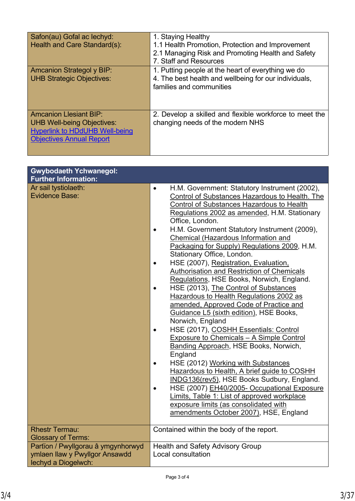| Safon(au) Gofal ac lechyd:            | 1. Staying Healthy                                      |
|---------------------------------------|---------------------------------------------------------|
| Health and Care Standard(s):          | 1.1 Health Promotion, Protection and Improvement        |
|                                       | 2.1 Managing Risk and Promoting Health and Safety       |
|                                       | 7. Staff and Resources                                  |
|                                       |                                                         |
| <b>Amcanion Strategol y BIP:</b>      | 1. Putting people at the heart of everything we do      |
| <b>UHB Strategic Objectives:</b>      | 4. The best health and wellbeing for our individuals,   |
|                                       | families and communities                                |
|                                       |                                                         |
|                                       |                                                         |
|                                       |                                                         |
| <b>Amcanion Llesiant BIP:</b>         | 2. Develop a skilled and flexible workforce to meet the |
| <b>UHB Well-being Objectives:</b>     | changing needs of the modern NHS                        |
|                                       |                                                         |
| <b>Hyperlink to HDdUHB Well-being</b> |                                                         |
| <b>Objectives Annual Report</b>       |                                                         |
|                                       |                                                         |
|                                       |                                                         |

| <b>Gwybodaeth Ychwanegol:</b><br><b>Further Information:</b>                                |                                                                                                                                                                                                                                                                                                                                                                                                                                                                                                                                                                                                                                                                                                                                                                                                                                                                                                                                                                                                                                                                                                                                                                                                                                                                               |
|---------------------------------------------------------------------------------------------|-------------------------------------------------------------------------------------------------------------------------------------------------------------------------------------------------------------------------------------------------------------------------------------------------------------------------------------------------------------------------------------------------------------------------------------------------------------------------------------------------------------------------------------------------------------------------------------------------------------------------------------------------------------------------------------------------------------------------------------------------------------------------------------------------------------------------------------------------------------------------------------------------------------------------------------------------------------------------------------------------------------------------------------------------------------------------------------------------------------------------------------------------------------------------------------------------------------------------------------------------------------------------------|
| Ar sail tystiolaeth:<br><b>Evidence Base:</b>                                               | H.M. Government: Statutory Instrument (2002),<br>$\bullet$<br>Control of Substances Hazardous to Health. The<br>Control of Substances Hazardous to Health<br>Regulations 2002 as amended, H.M. Stationary<br>Office, London.<br>H.M. Government Statutory Instrument (2009),<br>$\bullet$<br>Chemical (Hazardous Information and<br>Packaging for Supply) Regulations 2009, H.M.<br>Stationary Office, London.<br>HSE (2007), Registration, Evaluation,<br>$\bullet$<br>Authorisation and Restriction of Chemicals<br>Regulations, HSE Books, Norwich, England.<br>HSE (2013), The Control of Substances<br>$\bullet$<br>Hazardous to Health Regulations 2002 as<br>amended, Approved Code of Practice and<br>Guidance L5 (sixth edition), HSE Books,<br>Norwich, England<br>HSE (2017), COSHH Essentials: Control<br>$\bullet$<br>Exposure to Chemicals - A Simple Control<br>Banding Approach, HSE Books, Norwich,<br>England<br>HSE (2012) Working with Substances<br>$\bullet$<br>Hazardous to Health, A brief guide to COSHH<br>INDG136(rev5), HSE Books Sudbury, England.<br>HSE (2007) EH40/2005- Occupational Exposure<br>$\bullet$<br>Limits, Table 1: List of approved workplace<br>exposure limits (as consolidated with<br>amendments October 2007), HSE, England |
| <b>Rhestr Termau:</b><br><b>Glossary of Terms:</b>                                          | Contained within the body of the report.                                                                                                                                                                                                                                                                                                                                                                                                                                                                                                                                                                                                                                                                                                                                                                                                                                                                                                                                                                                                                                                                                                                                                                                                                                      |
| Partïon / Pwyllgorau â ymgynhorwyd<br>ymlaen llaw y Pwyllgor Ansawdd<br>lechyd a Diogelwch: | <b>Health and Safety Advisory Group</b><br>Local consultation                                                                                                                                                                                                                                                                                                                                                                                                                                                                                                                                                                                                                                                                                                                                                                                                                                                                                                                                                                                                                                                                                                                                                                                                                 |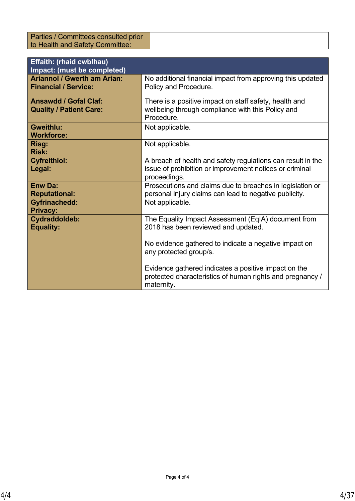Parties / Committees consulted prior to Health and Safety Committee:

| <b>Effaith: (rhaid cwblhau)</b>    |                                                             |
|------------------------------------|-------------------------------------------------------------|
| Impact: (must be completed)        |                                                             |
| <b>Ariannol / Gwerth am Arian:</b> | No additional financial impact from approving this updated  |
| <b>Financial / Service:</b>        | Policy and Procedure.                                       |
|                                    |                                                             |
| <b>Ansawdd / Gofal Claf:</b>       | There is a positive impact on staff safety, health and      |
| <b>Quality / Patient Care:</b>     | wellbeing through compliance with this Policy and           |
|                                    | Procedure.                                                  |
| <b>Gweithlu:</b>                   | Not applicable.                                             |
| <b>Workforce:</b>                  |                                                             |
| Risg:                              | Not applicable.                                             |
| <b>Risk:</b>                       |                                                             |
| <b>Cyfreithiol:</b>                | A breach of health and safety regulations can result in the |
| Legal:                             | issue of prohibition or improvement notices or criminal     |
|                                    | proceedings.                                                |
| <b>Enw Da:</b>                     | Prosecutions and claims due to breaches in legislation or   |
| <b>Reputational:</b>               | personal injury claims can lead to negative publicity.      |
| <b>Gyfrinachedd:</b>               | Not applicable.                                             |
| <b>Privacy:</b>                    |                                                             |
| Cydraddoldeb:                      | The Equality Impact Assessment (EqIA) document from         |
| <b>Equality:</b>                   | 2018 has been reviewed and updated.                         |
|                                    |                                                             |
|                                    | No evidence gathered to indicate a negative impact on       |
|                                    | any protected group/s.                                      |
|                                    |                                                             |
|                                    | Evidence gathered indicates a positive impact on the        |
|                                    | protected characteristics of human rights and pregnancy /   |
|                                    | maternity.                                                  |
|                                    |                                                             |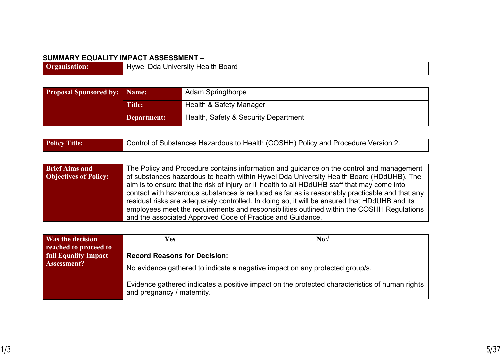#### **SUMMARY EQUALITY IMPACT ASSESSMENT –**

| <b>Organis</b> | Hywel Dda University Health Board |
|----------------|-----------------------------------|

| <b>Proposal Sponsored by:</b> Name: |             | <b>Adam Springthorpe</b>             |
|-------------------------------------|-------------|--------------------------------------|
| Title:                              |             | Health & Safety Manager              |
|                                     | Department: | Health, Safety & Security Department |

| <b>Brief Aims and</b>        | The Policy and Procedure contains information and guidance on the control and management      |
|------------------------------|-----------------------------------------------------------------------------------------------|
| <b>Objectives of Policy:</b> | of substances hazardous to health within Hywel Dda University Health Board (HDdUHB). The      |
|                              | aim is to ensure that the risk of injury or ill health to all HDdUHB staff that may come into |
|                              | contact with hazardous substances is reduced as far as is reasonably practicable and that any |
|                              | residual risks are adequately controlled. In doing so, it will be ensured that HDdUHB and its |
|                              | employees meet the requirements and responsibilities outlined within the COSHH Regulations    |
|                              | and the associated Approved Code of Practice and Guidance.                                    |

| Was the decision<br>reached to proceed to  | Yes                                                                          | $\bf{No}\sqrt{}$                                                                               |
|--------------------------------------------|------------------------------------------------------------------------------|------------------------------------------------------------------------------------------------|
| <b>full Equality Impact</b><br>Assessment? | <b>Record Reasons for Decision:</b>                                          |                                                                                                |
|                                            | No evidence gathered to indicate a negative impact on any protected group/s. |                                                                                                |
|                                            | and pregnancy / maternity.                                                   | Evidence gathered indicates a positive impact on the protected characteristics of human rights |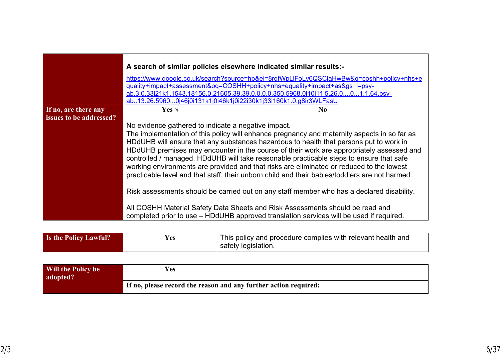|                                                 | A search of similar policies elsewhere indicated similar results:-<br>https://www.google.co.uk/search?source=hp&ei=8rqfWpLIFoLv6QSClaHwBw&q=coshh+policy+nhs+e<br>quality+impact+assessment&oq=COSHH+policy+nhs+equality+impact+as&gs l=psy-<br>ab.3.0.33i21k1.1543.18156.0.21605.39.39.0.0.0.0.350.5968.0j10j11j5.26.001.1.64.psy-<br>ab13.26.59600j46j0i131k1j0i46k1j0i22i30k1j33i160k1.0.g8ir3WLFasU                                                                                                                                                                                                                                                                                                                                                                                                                                                                                                    |     |
|-------------------------------------------------|------------------------------------------------------------------------------------------------------------------------------------------------------------------------------------------------------------------------------------------------------------------------------------------------------------------------------------------------------------------------------------------------------------------------------------------------------------------------------------------------------------------------------------------------------------------------------------------------------------------------------------------------------------------------------------------------------------------------------------------------------------------------------------------------------------------------------------------------------------------------------------------------------------|-----|
| If no, are there any<br>issues to be addressed? | Yes $\sqrt{ }$                                                                                                                                                                                                                                                                                                                                                                                                                                                                                                                                                                                                                                                                                                                                                                                                                                                                                             | No. |
|                                                 | No evidence gathered to indicate a negative impact.<br>The implementation of this policy will enhance pregnancy and maternity aspects in so far as<br>HDdUHB will ensure that any substances hazardous to health that persons put to work in<br>HDdUHB premises may encounter in the course of their work are appropriately assessed and<br>controlled / managed. HDdUHB will take reasonable practicable steps to ensure that safe<br>working environments are provided and that risks are eliminated or reduced to the lowest<br>practicable level and that staff, their unborn child and their babies/toddlers are not harmed.<br>Risk assessments should be carried out on any staff member who has a declared disability.<br>All COSHH Material Safety Data Sheets and Risk Assessments should be read and<br>completed prior to use – HDdUHB approved translation services will be used if required. |     |

| <b>Is the Policy Lawful?</b> | r es | <sup>1</sup> I his policy and procedure complies with relevant health and<br>safety legislation. |
|------------------------------|------|--------------------------------------------------------------------------------------------------|
|                              |      |                                                                                                  |

| <b>Will the Policy be</b> | <b>Yes</b> |                                                                  |
|---------------------------|------------|------------------------------------------------------------------|
| adopted?                  |            |                                                                  |
|                           |            | If no, please record the reason and any further action required: |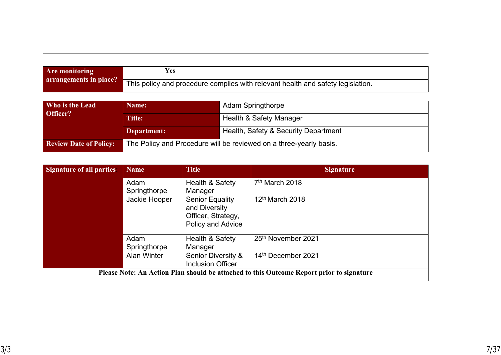| Are monitoring         | Y es |                                                                                 |
|------------------------|------|---------------------------------------------------------------------------------|
| arrangements in place? |      | This policy and procedure complies with relevant health and safety legislation. |

| Who is the Lead               | <b>Name:</b>  | Adam Springthorpe                                                  |  |  |  |  |
|-------------------------------|---------------|--------------------------------------------------------------------|--|--|--|--|
| Officer?                      | <b>Title:</b> | Health & Safety Manager                                            |  |  |  |  |
|                               | Department:   | Health, Safety & Security Department                               |  |  |  |  |
| <b>Review Date of Policy:</b> |               | The Policy and Procedure will be reviewed on a three-yearly basis. |  |  |  |  |

| <b>Signature of all parties:</b> | <b>Name</b>          | <b>Title</b>                                                                       | <b>Signature</b>                                                                         |
|----------------------------------|----------------------|------------------------------------------------------------------------------------|------------------------------------------------------------------------------------------|
|                                  | Adam                 | Health & Safety                                                                    | 7 <sup>th</sup> March 2018                                                               |
|                                  | Springthorpe         | Manager                                                                            |                                                                                          |
|                                  | Jackie Hooper        | <b>Senior Equality</b><br>and Diversity<br>Officer, Strategy,<br>Policy and Advice | 12th March 2018                                                                          |
|                                  | Adam<br>Springthorpe | Health & Safety<br>Manager                                                         | 25th November 2021                                                                       |
|                                  | <b>Alan Winter</b>   | <b>Senior Diversity &amp;</b><br><b>Inclusion Officer</b>                          | 14th December 2021                                                                       |
|                                  |                      |                                                                                    | Please Note: An Action Plan should be attached to this Outcome Report prior to signature |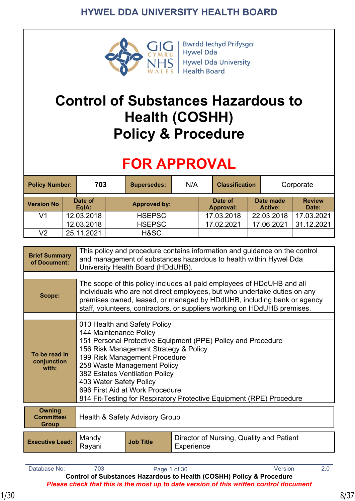

**Bwrdd lechyd Prifysgol Hywel Dda Hywel Dda University Health Board** 

# **Control of Substances Hazardous to Health (COSHH) Policy & Procedure**

# **FOR APPROVAL**

| <b>Policy Number:</b> | 703              | <b>Supersedes:</b>  | N/A | <b>Classification</b>       |  | Corporate                   |                        |
|-----------------------|------------------|---------------------|-----|-----------------------------|--|-----------------------------|------------------------|
| <b>Version No</b>     | Date of<br>EqIA: | <b>Approved by:</b> |     | Date of<br><b>Approval:</b> |  | Date made<br><b>Active:</b> | <b>Review</b><br>Date: |
| V1                    | 12.03.2018       | <b>HSEPSC</b>       |     | 17.03.2018                  |  | 22.03.2018                  | 17.03.2021             |
|                       | 12.03.2018       | <b>HSEPSC</b>       |     | 17.02.2021                  |  | 17.06.2021                  | 31.12.2021             |
| V2                    | 25.11.2021       | H&SC                |     |                             |  |                             |                        |

| <b>Brief Summary</b><br>of Document:  | This policy and procedure contains information and guidance on the control<br>and management of substances hazardous to health within Hywel Dda<br>University Health Board (HDdUHB).                                                                                                                                                                                                                    |                  |                                                        |  |  |  |  |
|---------------------------------------|---------------------------------------------------------------------------------------------------------------------------------------------------------------------------------------------------------------------------------------------------------------------------------------------------------------------------------------------------------------------------------------------------------|------------------|--------------------------------------------------------|--|--|--|--|
|                                       |                                                                                                                                                                                                                                                                                                                                                                                                         |                  |                                                        |  |  |  |  |
| Scope:                                | The scope of this policy includes all paid employees of HDdUHB and all<br>individuals who are not direct employees, but who undertake duties on any<br>premises owned, leased, or managed by HDdUHB, including bank or agency<br>staff, volunteers, contractors, or suppliers working on HDdUHB premises.                                                                                               |                  |                                                        |  |  |  |  |
|                                       |                                                                                                                                                                                                                                                                                                                                                                                                         |                  |                                                        |  |  |  |  |
| To be read in<br>conjunction<br>with: | 010 Health and Safety Policy<br>144 Maintenance Policy<br>151 Personal Protective Equipment (PPE) Policy and Procedure<br>156 Risk Management Strategy & Policy<br>199 Risk Management Procedure<br>258 Waste Management Policy<br>382 Estates Ventilation Policy<br>403 Water Safety Policy<br>696 First Aid at Work Procedure<br>814 Fit-Testing for Respiratory Protective Equipment (RPE) Procedure |                  |                                                        |  |  |  |  |
| <b>Owning</b>                         |                                                                                                                                                                                                                                                                                                                                                                                                         |                  |                                                        |  |  |  |  |
| Committee/<br>Group                   | Health & Safety Advisory Group                                                                                                                                                                                                                                                                                                                                                                          |                  |                                                        |  |  |  |  |
| <b>Executive Lead:</b>                | Mandy<br>Rayani                                                                                                                                                                                                                                                                                                                                                                                         | <b>Job Title</b> | Director of Nursing, Quality and Patient<br>Experience |  |  |  |  |

Database No: 703 Page 1 of 30 Version 2.0 **Control of Substances Hazardous to Health (COSHH) Policy & Procedure** *Please check that this is the most up to date version of this written control document*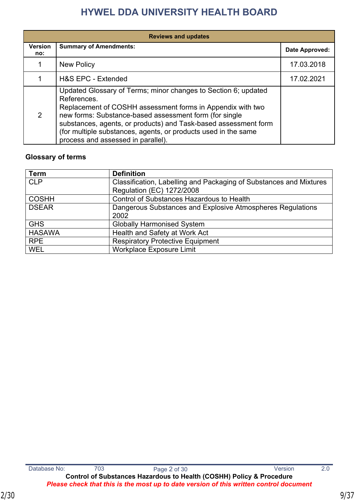| <b>Reviews and updates</b> |                                                                                                                                                                                                                                                                                                                                                                                  |                |  |  |  |  |
|----------------------------|----------------------------------------------------------------------------------------------------------------------------------------------------------------------------------------------------------------------------------------------------------------------------------------------------------------------------------------------------------------------------------|----------------|--|--|--|--|
| <b>Version</b><br>no:      | <b>Summary of Amendments:</b>                                                                                                                                                                                                                                                                                                                                                    | Date Approved: |  |  |  |  |
|                            | <b>New Policy</b>                                                                                                                                                                                                                                                                                                                                                                | 17.03.2018     |  |  |  |  |
|                            | H&S EPC - Extended                                                                                                                                                                                                                                                                                                                                                               | 17.02.2021     |  |  |  |  |
| 2                          | Updated Glossary of Terms; minor changes to Section 6; updated<br>References.<br>Replacement of COSHH assessment forms in Appendix with two<br>new forms: Substance-based assessment form (for single<br>substances, agents, or products) and Task-based assessment form<br>(for multiple substances, agents, or products used in the same<br>process and assessed in parallel). |                |  |  |  |  |

### **Glossary of terms**

| <b>Term</b>   | <b>Definition</b>                                                  |
|---------------|--------------------------------------------------------------------|
| <b>CLP</b>    | Classification, Labelling and Packaging of Substances and Mixtures |
|               | Regulation (EC) 1272/2008                                          |
| <b>COSHH</b>  | Control of Substances Hazardous to Health                          |
| <b>DSEAR</b>  | Dangerous Substances and Explosive Atmospheres Regulations         |
|               | 2002                                                               |
| <b>GHS</b>    | <b>Globally Harmonised System</b>                                  |
| <b>HASAWA</b> | Health and Safety at Work Act                                      |
| <b>RPE</b>    | <b>Respiratory Protective Equipment</b>                            |
| <b>WEL</b>    | <b>Workplace Exposure Limit</b>                                    |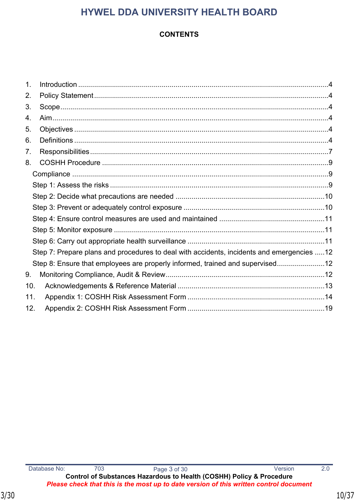### **CONTENTS**

| $\mathbf{1}$ . |                                                                                           |  |
|----------------|-------------------------------------------------------------------------------------------|--|
| 2.             |                                                                                           |  |
| 3.             |                                                                                           |  |
| 4.             |                                                                                           |  |
| 5.             |                                                                                           |  |
| 6.             |                                                                                           |  |
| 7 <sub>1</sub> |                                                                                           |  |
| 8.             |                                                                                           |  |
|                |                                                                                           |  |
|                |                                                                                           |  |
|                |                                                                                           |  |
|                |                                                                                           |  |
|                |                                                                                           |  |
|                |                                                                                           |  |
|                |                                                                                           |  |
|                | Step 7: Prepare plans and procedures to deal with accidents, incidents and emergencies 12 |  |
|                | Step 8: Ensure that employees are properly informed, trained and supervised12             |  |
| 9.             |                                                                                           |  |
| 10.            |                                                                                           |  |
| 11.            |                                                                                           |  |
| 12.            |                                                                                           |  |

 $\overline{2.0}$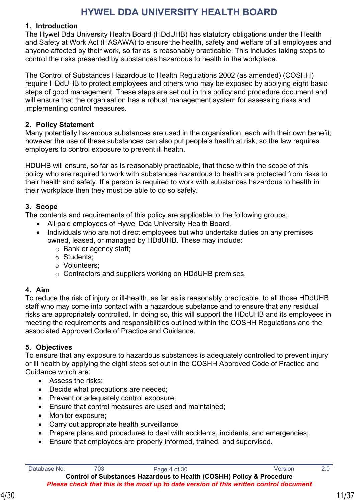#### <span id="page-10-0"></span>**1. Introduction**

The Hywel Dda University Health Board (HDdUHB) has statutory obligations under the Health and Safety at Work Act (HASAWA) to ensure the health, safety and welfare of all employees and anyone affected by their work, so far as is reasonably practicable. This includes taking steps to control the risks presented by substances hazardous to health in the workplace.

The Control of Substances Hazardous to Health Regulations 2002 (as amended) (COSHH) require HDdUHB to protect employees and others who may be exposed by applying eight basic steps of good management. These steps are set out in this policy and procedure document and will ensure that the organisation has a robust management system for assessing risks and implementing control measures.

#### <span id="page-10-1"></span>**2. Policy Statement**

Many potentially hazardous substances are used in the organisation, each with their own benefit; however the use of these substances can also put people's health at risk, so the law requires employers to control exposure to prevent ill health.

HDUHB will ensure, so far as is reasonably practicable, that those within the scope of this policy who are required to work with substances hazardous to health are protected from risks to their health and safety. If a person is required to work with substances hazardous to health in their workplace then they must be able to do so safely.

#### <span id="page-10-2"></span>**3. Scope**

The contents and requirements of this policy are applicable to the following groups;

- All paid employees of Hywel Dda University Health Board,
- Individuals who are not direct employees but who undertake duties on any premises owned, leased, or managed by HDdUHB. These may include:
	- o Bank or agency staff;
	- o Students;
	- o Volunteers;
	- o Contractors and suppliers working on HDdUHB premises.

#### <span id="page-10-3"></span>**4. Aim**

To reduce the risk of injury or ill-health, as far as is reasonably practicable, to all those HDdUHB staff who may come into contact with a hazardous substance and to ensure that any residual risks are appropriately controlled. In doing so, this will support the HDdUHB and its employees in meeting the requirements and responsibilities outlined within the COSHH Regulations and the associated Approved Code of Practice and Guidance.

#### <span id="page-10-4"></span>**5. Objectives**

To ensure that any exposure to hazardous substances is adequately controlled to prevent injury or ill health by applying the eight steps set out in the COSHH Approved Code of Practice and Guidance which are:

- Assess the risks:
- Decide what precautions are needed:
- Prevent or adequately control exposure;
- Ensure that control measures are used and maintained;
- Monitor exposure:
- Carry out appropriate health surveillance;
- Prepare plans and procedures to deal with accidents, incidents, and emergencies;
- Ensure that employees are properly informed, trained, and supervised.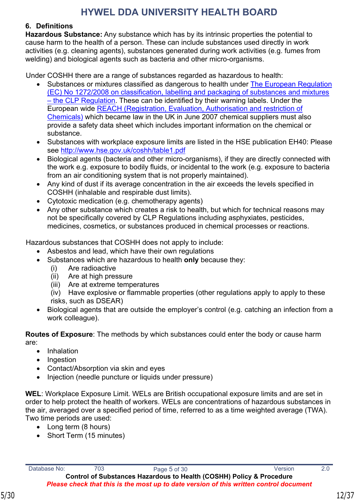#### <span id="page-11-0"></span>**6. Definitions**

**Hazardous Substance:** Any substance which has by its intrinsic properties the potential to cause harm to the health of a person. These can include substances used directly in work activities (e.g. cleaning agents), substances generated during work activities (e.g. fumes from welding) and biological agents such as bacteria and other micro-organisms.

Under COSHH there are a range of substances regarded as hazardous to health:

- Substances or mixtures classified as dangerous to health under [The European Regulation](http://www.hse.gov.uk/chemical-classification/legal/clp-regulation.htm)  [\(EC\) No 1272/2008 on classification, labelling and packaging of substances and mixtures](http://www.hse.gov.uk/chemical-classification/legal/clp-regulation.htm)  [– the CLP Regulation](http://www.hse.gov.uk/chemical-classification/legal/clp-regulation.htm). These can be identified by their warning labels. Under the European wide [REACH \(Registration, Evaluation, Authorisation and restriction of](http://www.hse.gov.uk/reach/about.htm)  [Chemicals\)](http://www.hse.gov.uk/reach/about.htm) which became law in the UK in June 2007 chemical suppliers must also provide a safety data sheet which includes important information on the chemical or substance.
- Substances with workplace exposure limits are listed in the HSE publication EH40: Please see<http://www.hse.gov.uk/coshh/table1.pdf>
- Biological agents (bacteria and other micro-organisms), if they are directly connected with the work e.g. exposure to bodily fluids, or incidental to the work (e.g. exposure to bacteria from an air conditioning system that is not properly maintained).
- Any kind of dust if its average concentration in the air exceeds the levels specified in COSHH (inhalable and respirable dust limits).
- Cytotoxic medication (e.g. chemotherapy agents)
- Any other substance which creates a risk to health, but which for technical reasons may not be specifically covered by CLP Regulations including asphyxiates, pesticides, medicines, cosmetics, or substances produced in chemical processes or reactions.

Hazardous substances that COSHH does not apply to include:

- Asbestos and lead, which have their own regulations
- Substances which are hazardous to health **only** because they:
	- (i) Are radioactive
	- (ii) Are at high pressure
	- (iii) Are at extreme temperatures
	- (iv) Have explosive or flammable properties (other regulations apply to apply to these risks, such as DSEAR)
- Biological agents that are outside the employer's control (e.g. catching an infection from a work colleague).

**Routes of Exposure**: The methods by which substances could enter the body or cause harm are:

- Inhalation
- Ingestion
- Contact/Absorption via skin and eves
- Injection (needle puncture or liquids under pressure)

**WEL**: Workplace Exposure Limit. WELs are British occupational exposure limits and are set in order to help protect the health of workers. WELs are concentrations of hazardous substances in the air, averaged over a specified period of time, referred to as a time weighted average (TWA). Two time periods are used:

- Long term (8 hours)
- Short Term (15 minutes)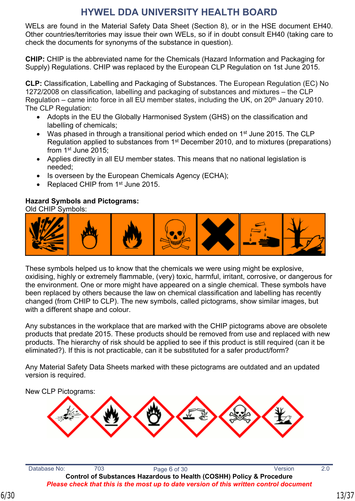WELs are found in the Material Safety Data Sheet (Section 8), or in the HSE document EH40. Other countries/territories may issue their own WELs, so if in doubt consult EH40 (taking care to check the documents for synonyms of the substance in question).

**CHIP:** CHIP is the abbreviated name for the Chemicals (Hazard Information and Packaging for Supply) Regulations. CHIP was replaced by the European CLP Regulation on 1st June 2015.

**CLP:** Classification, Labelling and Packaging of Substances. The European Regulation (EC) No 1272/2008 on classification, labelling and packaging of substances and mixtures – the CLP Regulation – came into force in all EU member states, including the UK, on  $20<sup>th</sup>$  January 2010. The CLP Regulation:

- Adopts in the EU the Globally Harmonised System (GHS) on the classification and labelling of chemicals;
- Was phased in through a transitional period which ended on 1<sup>st</sup> June 2015. The CLP Regulation applied to substances from 1<sup>st</sup> December 2010, and to mixtures (preparations) from 1st June 2015;
- Applies directly in all EU member states. This means that no national legislation is needed;
- Is overseen by the European Chemicals Agency (ECHA);
- Replaced CHIP from 1st June 2015.

#### **Hazard Symbols and Pictograms:**





These symbols helped us to know that the chemicals we were using might be explosive, oxidising, highly or extremely flammable, (very) toxic, harmful, irritant, corrosive, or dangerous for the environment. One or more might have appeared on a single chemical. These symbols have been replaced by others because the law on chemical classification and labelling has recently changed (from CHIP to CLP). The new symbols, called pictograms, show similar images, but with a different shape and colour.

Any substances in the workplace that are marked with the CHIP pictograms above are obsolete products that predate 2015. These products should be removed from use and replaced with new products. The hierarchy of risk should be applied to see if this product is still required (can it be eliminated?). If this is not practicable, can it be substituted for a safer product/form?

Any Material Safety Data Sheets marked with these pictograms are outdated and an updated version is required.

New CLP Pictograms:

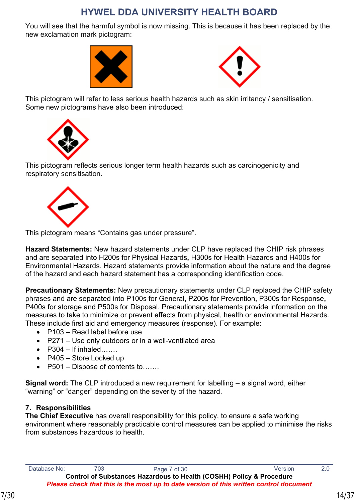You will see that the harmful symbol is now missing. This is because it has been replaced by the new exclamation mark pictogram:





This pictogram will refer to less serious health hazards such as skin irritancy / sensitisation. Some new pictograms have also been introduced:



This pictogram reflects serious longer term health hazards such as carcinogenicity and respiratory sensitisation.



This pictogram means "Contains gas under pressure".

**Hazard Statements:** New hazard statements under CLP have replaced the CHIP risk phrases and are separated into H200s for Physical Hazards**,** H300s for Health Hazards and H400s for Environmental Hazards. Hazard statements provide information about the nature and the degree of the hazard and each hazard statement has a corresponding identification code.

**Precautionary Statements:** New precautionary statements under CLP replaced the CHIP safety phrases and are separated into P100s for General**,** P200s for Prevention**,** P300s for Response**,**  P400s for storage and P500s for Disposal. Precautionary statements provide information on the measures to take to minimize or prevent effects from physical, health or environmental Hazards. These include first aid and emergency measures (response). For example:

- P103 Read label before use
- P271 Use only outdoors or in a well-ventilated area
- $\bullet$  P304 If inhaled……
- P405 Store Locked up
- P501 Dispose of contents to…….

**Signal word:** The CLP introduced a new requirement for labelling – a signal word, either "warning" or "danger" depending on the severity of the hazard.

### <span id="page-13-0"></span>**7. Responsibilities**

**The Chief Executive** has overall responsibility for this policy, to ensure a safe working environment where reasonably practicable control measures can be applied to minimise the risks from substances hazardous to health.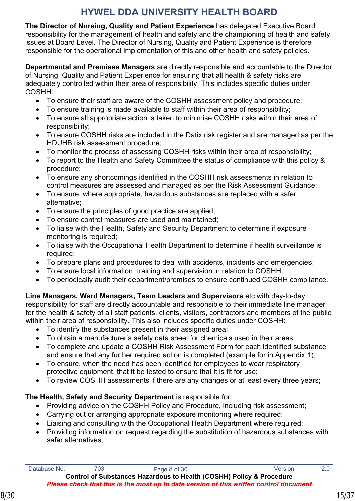**The Director of Nursing, Quality and Patient Experience** has delegated Executive Board responsibility for the management of health and safety and the championing of health and safety issues at Board Level. The Director of Nursing, Quality and Patient Experience is therefore responsible for the operational implementation of this and other health and safety policies.

**Departmental and Premises Managers** are directly responsible and accountable to the Director of Nursing, Quality and Patient Experience for ensuring that all health & safety risks are adequately controlled within their area of responsibility. This includes specific duties under COSHH:

- To ensure their staff are aware of the COSHH assessment policy and procedure;
- To ensure training is made available to staff within their area of responsibility;
- To ensure all appropriate action is taken to minimise COSHH risks within their area of responsibility;
- To ensure COSHH risks are included in the Datix risk register and are managed as per the HDUHB risk assessment procedure;
- To monitor the process of assessing COSHH risks within their area of responsibility;
- To report to the Health and Safety Committee the status of compliance with this policy & procedure;
- To ensure any shortcomings identified in the COSHH risk assessments in relation to control measures are assessed and managed as per the Risk Assessment Guidance;
- To ensure, where appropriate, hazardous substances are replaced with a safer alternative;
- To ensure the principles of good practice are applied;
- To ensure control measures are used and maintained;
- To liaise with the Health, Safety and Security Department to determine if exposure monitoring is required;
- To liaise with the Occupational Health Department to determine if health surveillance is required;
- To prepare plans and procedures to deal with accidents, incidents and emergencies;
- To ensure local information, training and supervision in relation to COSHH;
- To periodically audit their department/premises to ensure continued COSHH compliance.

**Line Managers, Ward Managers, Team Leaders and Supervisors** etc with day-to-day responsibility for staff are directly accountable and responsible to their immediate line manager for the health & safety of all staff patients, clients, visitors, contractors and members of the public within their area of responsibility. This also includes specific duties under COSHH:

- To identify the substances present in their assigned area;
- To obtain a manufacturer's safety data sheet for chemicals used in their areas;
- To complete and update a COSHH Risk Assessment Form for each identified substance and ensure that any further required action is completed (example for in Appendix 1);
- To ensure, when the need has been identified for employees to wear respiratory protective equipment, that it be tested to ensure that it is fit for use;
- To review COSHH assessments if there are any changes or at least every three years;

### **The Health, Safety and Security Department** is responsible for:

- Providing advice on the COSHH Policy and Procedure, including risk assessment;
- Carrying out or arranging appropriate exposure monitoring where required:
- Liaising and consulting with the Occupational Health Department where required;
- Providing information on request regarding the substitution of hazardous substances with safer alternatives;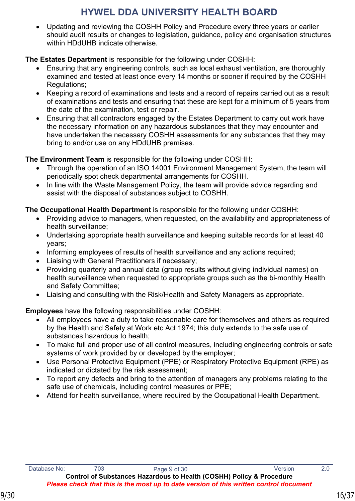Updating and reviewing the COSHH Policy and Procedure every three years or earlier should audit results or changes to legislation, guidance, policy and organisation structures within HDdUHB indicate otherwise.

### **The Estates Department** is responsible for the following under COSHH:

- Ensuring that any engineering controls, such as local exhaust ventilation, are thoroughly examined and tested at least once every 14 months or sooner if required by the COSHH Regulations;
- Keeping a record of examinations and tests and a record of repairs carried out as a result of examinations and tests and ensuring that these are kept for a minimum of 5 years from the date of the examination, test or repair.
- Ensuring that all contractors engaged by the Estates Department to carry out work have the necessary information on any hazardous substances that they may encounter and have undertaken the necessary COSHH assessments for any substances that they may bring to and/or use on any HDdUHB premises.

### **The Environment Team** is responsible for the following under COSHH:

- Through the operation of an ISO 14001 Environment Management System, the team will periodically spot check departmental arrangements for COSHH.
- In line with the Waste Management Policy, the team will provide advice regarding and assist with the disposal of substances subject to COSHH.

### **The Occupational Health Department** is responsible for the following under COSHH:

- Providing advice to managers, when requested, on the availability and appropriateness of health surveillance;
- Undertaking appropriate health surveillance and keeping suitable records for at least 40 years;
- Informing employees of results of health surveillance and any actions required;
- Liaising with General Practitioners if necessary;
- Providing quarterly and annual data (group results without giving individual names) on health surveillance when requested to appropriate groups such as the bi-monthly Health and Safety Committee;
- Liaising and consulting with the Risk/Health and Safety Managers as appropriate.

**Employees** have the following responsibilities under COSHH:

- All employees have a duty to take reasonable care for themselves and others as required by the Health and Safety at Work etc Act 1974; this duty extends to the safe use of substances hazardous to health;
- To make full and proper use of all control measures, including engineering controls or safe systems of work provided by or developed by the employer;
- Use Personal Protective Equipment (PPE) or Respiratory Protective Equipment (RPE) as indicated or dictated by the risk assessment;
- To report any defects and bring to the attention of managers any problems relating to the safe use of chemicals, including control measures or PPE;
- <span id="page-15-0"></span>Attend for health surveillance, where required by the Occupational Health Department.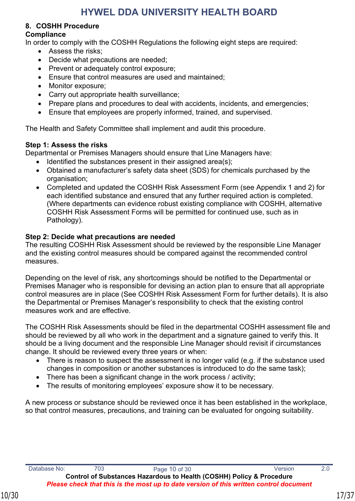### **8. COSHH Procedure**

#### <span id="page-16-0"></span>**Compliance**

In order to comply with the COSHH Regulations the following eight steps are required:

- Assess the risks;
- Decide what precautions are needed;
- Prevent or adequately control exposure;
- Ensure that control measures are used and maintained;
- Monitor exposure:
- Carry out appropriate health surveillance;
- Prepare plans and procedures to deal with accidents, incidents, and emergencies;
- Ensure that employees are properly informed, trained, and supervised.

The Health and Safety Committee shall implement and audit this procedure.

### <span id="page-16-1"></span>**Step 1: Assess the risks**

Departmental or Premises Managers should ensure that Line Managers have:

- $\bullet$  Identified the substances present in their assigned area(s);
- Obtained a manufacturer's safety data sheet (SDS) for chemicals purchased by the organisation;
- Completed and updated the COSHH Risk Assessment Form (see Appendix 1 and 2) for each identified substance and ensured that any further required action is completed. (Where departments can evidence robust existing compliance with COSHH, alternative COSHH Risk Assessment Forms will be permitted for continued use, such as in Pathology).

### <span id="page-16-2"></span>**Step 2: Decide what precautions are needed**

The resulting COSHH Risk Assessment should be reviewed by the responsible Line Manager and the existing control measures should be compared against the recommended control measures.

Depending on the level of risk, any shortcomings should be notified to the Departmental or Premises Manager who is responsible for devising an action plan to ensure that all appropriate control measures are in place (See COSHH Risk Assessment Form for further details). It is also the Departmental or Premises Manager's responsibility to check that the existing control measures work and are effective.

The COSHH Risk Assessments should be filed in the departmental COSHH assessment file and should be reviewed by all who work in the department and a signature gained to verify this. It should be a living document and the responsible Line Manager should revisit if circumstances change. It should be reviewed every three years or when:

- There is reason to suspect the assessment is no longer valid (e.g. if the substance used changes in composition or another substances is introduced to do the same task);
- There has been a significant change in the work process / activity;
- The results of monitoring employees' exposure show it to be necessary.

<span id="page-16-3"></span>A new process or substance should be reviewed once it has been established in the workplace, so that control measures, precautions, and training can be evaluated for ongoing suitability.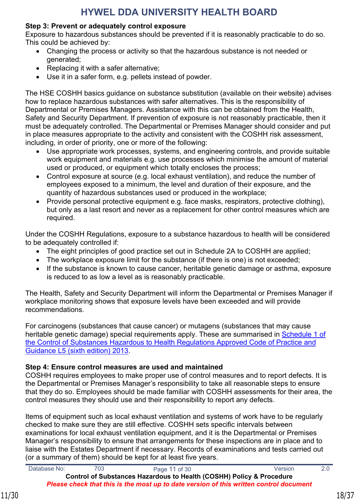#### **Step 3: Prevent or adequately control exposure**

Exposure to hazardous substances should be prevented if it is reasonably practicable to do so. This could be achieved by:

- Changing the process or activity so that the hazardous substance is not needed or generated;
- Replacing it with a safer alternative;
- Use it in a safer form, e.g. pellets instead of powder.

The HSE COSHH basics guidance on substance substitution (available on their website) advises how to replace hazardous substances with safer alternatives. This is the responsibility of Departmental or Premises Managers. Assistance with this can be obtained from the Health, Safety and Security Department. If prevention of exposure is not reasonably practicable, then it must be adequately controlled. The Departmental or Premises Manager should consider and put in place measures appropriate to the activity and consistent with the COSHH risk assessment, including, in order of priority, one or more of the following:

- Use appropriate work processes, systems, and engineering controls, and provide suitable work equipment and materials e.g. use processes which minimise the amount of material used or produced, or equipment which totally encloses the process;
- Control exposure at source (e.g. local exhaust ventilation), and reduce the number of employees exposed to a minimum, the level and duration of their exposure, and the quantity of hazardous substances used or produced in the workplace;
- Provide personal protective equipment e.g. face masks, respirators, protective clothing), but only as a last resort and never as a replacement for other control measures which are required.

Under the COSHH Regulations, exposure to a substance hazardous to health will be considered to be adequately controlled if:

- The eight principles of good practice set out in Schedule 2A to COSHH are applied;
- The workplace exposure limit for the substance (if there is one) is not exceeded;
- If the substance is known to cause cancer, heritable genetic damage or asthma, exposure is reduced to as low a level as is reasonably practicable.

The Health, Safety and Security Department will inform the Departmental or Premises Manager if workplace monitoring shows that exposure levels have been exceeded and will provide recommendations.

For carcinogens (substances that cause cancer) or mutagens (substances that may cause heritable genetic damage) special requirements apply. These are summarised in Schedule 1 of [the Control of Substances Hazardous to Health Regulations Approved Code of Practice and](http://www.hse.gov.uk/pubns/priced/l5.pdf)  [Guidance L5 \(sixth edition\) 2013](http://www.hse.gov.uk/pubns/priced/l5.pdf).

#### <span id="page-17-0"></span>**Step 4: Ensure control measures are used and maintained**

COSHH requires employees to make proper use of control measures and to report defects. It is the Departmental or Premises Manager's responsibility to take all reasonable steps to ensure that they do so. Employees should be made familiar with COSHH assessments for their area, the control measures they should use and their responsibility to report any defects.

Items of equipment such as local exhaust ventilation and systems of work have to be regularly checked to make sure they are still effective. COSHH sets specific intervals between examinations for local exhaust ventilation equipment, and it is the Departmental or Premises Manager's responsibility to ensure that arrangements for these inspections are in place and to liaise with the Estates Department if necessary. Records of examinations and tests carried out (or a summary of them) should be kept for at least five years.

Database No: 703 Page 11 of 30 Version 2.0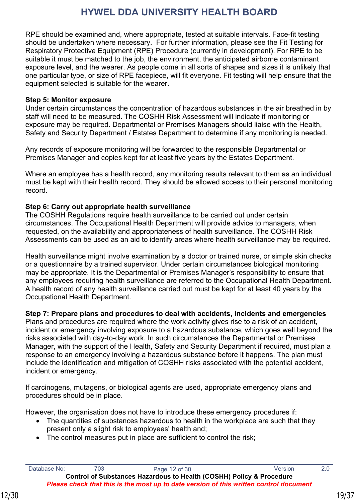RPE should be examined and, where appropriate, tested at suitable intervals. Face-fit testing should be undertaken where necessary. For further information, please see the Fit Testing for Respiratory Protective Equipment (RPE) Procedure (currently in development). For RPE to be suitable it must be matched to the job, the environment, the anticipated airborne contaminant exposure level, and the wearer. As people come in all sorts of shapes and sizes it is unlikely that one particular type, or size of RPE facepiece, will fit everyone. Fit testing will help ensure that the equipment selected is suitable for the wearer.

#### <span id="page-18-0"></span>**Step 5: Monitor exposure**

Under certain circumstances the concentration of hazardous substances in the air breathed in by staff will need to be measured. The COSHH Risk Assessment will indicate if monitoring or exposure may be required. Departmental or Premises Managers should liaise with the Health, Safety and Security Department / Estates Department to determine if any monitoring is needed.

Any records of exposure monitoring will be forwarded to the responsible Departmental or Premises Manager and copies kept for at least five years by the Estates Department.

Where an employee has a health record, any monitoring results relevant to them as an individual must be kept with their health record. They should be allowed access to their personal monitoring record.

#### <span id="page-18-1"></span>**Step 6: Carry out appropriate health surveillance**

The COSHH Regulations require health surveillance to be carried out under certain circumstances. The Occupational Health Department will provide advice to managers, when requested, on the availability and appropriateness of health surveillance. The COSHH Risk Assessments can be used as an aid to identify areas where health surveillance may be required.

Health surveillance might involve examination by a doctor or trained nurse, or simple skin checks or a questionnaire by a trained supervisor. Under certain circumstances biological monitoring may be appropriate. It is the Departmental or Premises Manager's responsibility to ensure that any employees requiring health surveillance are referred to the Occupational Health Department. A health record of any health surveillance carried out must be kept for at least 40 years by the Occupational Health Department.

<span id="page-18-2"></span>**Step 7: Prepare plans and procedures to deal with accidents, incidents and emergencies**

Plans and procedures are required where the work activity gives rise to a risk of an accident, incident or emergency involving exposure to a hazardous substance, which goes well beyond the risks associated with day-to-day work. In such circumstances the Departmental or Premises Manager, with the support of the Health, Safety and Security Department if required, must plan a response to an emergency involving a hazardous substance before it happens. The plan must include the identification and mitigation of COSHH risks associated with the potential accident, incident or emergency.

If carcinogens, mutagens, or biological agents are used, appropriate emergency plans and procedures should be in place.

However, the organisation does not have to introduce these emergency procedures if:

- The quantities of substances hazardous to health in the workplace are such that they present only a slight risk to employees' health and;
- The control measures put in place are sufficient to control the risk;

12/30 19/37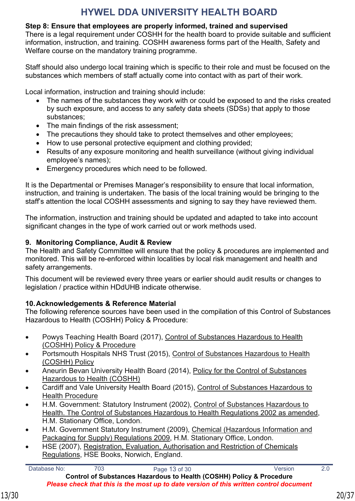### <span id="page-19-0"></span>**Step 8: Ensure that employees are properly informed, trained and supervised**

There is a legal requirement under COSHH for the health board to provide suitable and sufficient information, instruction, and training. COSHH awareness forms part of the Health, Safety and Welfare course on the mandatory training programme.

Staff should also undergo local training which is specific to their role and must be focused on the substances which members of staff actually come into contact with as part of their work.

Local information, instruction and training should include:

- The names of the substances they work with or could be exposed to and the risks created by such exposure, and access to any safety data sheets (SDSs) that apply to those substances;
- The main findings of the risk assessment;
- The precautions they should take to protect themselves and other employees;
- How to use personal protective equipment and clothing provided;
- Results of any exposure monitoring and health surveillance (without giving individual employee's names);
- Emergency procedures which need to be followed.

It is the Departmental or Premises Manager's responsibility to ensure that local information, instruction, and training is undertaken. The basis of the local training would be bringing to the staff's attention the local COSHH assessments and signing to say they have reviewed them.

The information, instruction and training should be updated and adapted to take into account significant changes in the type of work carried out or work methods used.

### <span id="page-19-1"></span>**9. Monitoring Compliance, Audit & Review**

The Health and Safety Committee will ensure that the policy & procedures are implemented and monitored. This will be re-enforced within localities by local risk management and health and safety arrangements.

This document will be reviewed every three years or earlier should audit results or changes to legislation / practice within HDdUHB indicate otherwise.

### <span id="page-19-2"></span>**10.Acknowledgements & Reference Material**

The following reference sources have been used in the compilation of this Control of Substances Hazardous to Health (COSHH) Policy & Procedure:

- Powys Teaching Health Board (2017), Control of Substances Hazardous to Health (COSHH) Policy & Procedure
- Portsmouth Hospitals NHS Trust (2015), Control of Substances Hazardous to Health (COSHH) Policy
- Aneurin Bevan University Health Board (2014), Policy for the Control of Substances Hazardous to Health (COSHH)
- Cardiff and Vale University Health Board (2015), Control of Substances Hazardous to Health Procedure
- H.M. Government: Statutory Instrument (2002), Control of Substances Hazardous to Health. The Control of Substances Hazardous to Health Regulations 2002 as amended, H.M. Stationary Office, London.
- H.M. Government Statutory Instrument (2009), Chemical (Hazardous Information and Packaging for Supply) Regulations 2009, H.M. Stationary Office, London.
- HSE (2007), Registration, Evaluation, Authorisation and Restriction of Chemicals Regulations, HSE Books, Norwich, England.

Database No: 703 Page 13 of 30 Version 2.0

**Control of Substances Hazardous to Health (COSHH) Policy & Procedure** *Please check that this is the most up to date version of this written control document*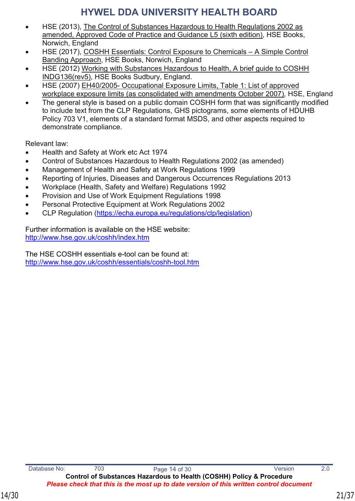- HSE (2013), The Control of Substances Hazardous to Health Regulations 2002 as amended, Approved Code of Practice and Guidance L5 (sixth edition), HSE Books, Norwich, England
- HSE (2017), COSHH Essentials: Control Exposure to Chemicals A Simple Control Banding Approach, HSE Books, Norwich, England
- HSE (2012) Working with Substances Hazardous to Health, A brief guide to COSHH INDG136(rev5), HSE Books Sudbury, England.
- HSE (2007) EH40/2005- Occupational Exposure Limits, Table 1: List of approved workplace exposure limits (as consolidated with amendments October 2007), HSE, England
- The general style is based on a public domain COSHH form that was significantly modified to include text from the CLP Regulations, GHS pictograms, some elements of HDUHB Policy 703 V1, elements of a standard format MSDS, and other aspects required to demonstrate compliance.

Relevant law:

- Health and Safety at Work etc Act 1974
- Control of Substances Hazardous to Health Regulations 2002 (as amended)
- Management of Health and Safety at Work Regulations 1999
- Reporting of Injuries, Diseases and Dangerous Occurrences Regulations 2013
- Workplace (Health, Safety and Welfare) Regulations 1992
- Provision and Use of Work Equipment Regulations 1998
- Personal Protective Equipment at Work Regulations 2002
- CLP Regulation [\(https://echa.europa.eu/regulations/clp/legislation](https://echa.europa.eu/regulations/clp/legislation))

Further information is available on the HSE website: <http://www.hse.gov.uk/coshh/index.htm>

The HSE COSHH essentials e-tool can be found at: <http://www.hse.gov.uk/coshh/essentials/coshh-tool.htm>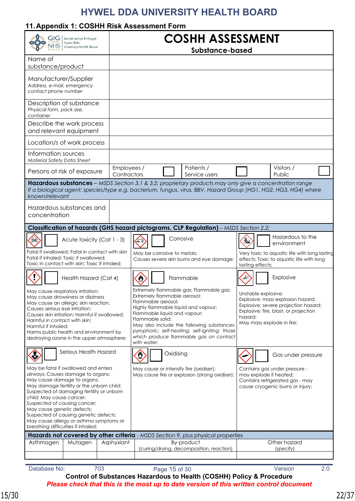### <span id="page-21-0"></span>**11.Appendix 1: COSHH Risk Assessment Form**

| GICI<br>Bwrdd Iechyd Prifysgol<br>Hywel Dda<br><b>University Health Board</b>                                                                                                                                                                                                                                                                                                                                          |                            | <b>COSHH ASSESSMENT</b><br>Substance-based                                                                                                                                                                                                                                                                                                        |                                                                                                                                                                                   |
|------------------------------------------------------------------------------------------------------------------------------------------------------------------------------------------------------------------------------------------------------------------------------------------------------------------------------------------------------------------------------------------------------------------------|----------------------------|---------------------------------------------------------------------------------------------------------------------------------------------------------------------------------------------------------------------------------------------------------------------------------------------------------------------------------------------------|-----------------------------------------------------------------------------------------------------------------------------------------------------------------------------------|
| Name of<br>substance/product                                                                                                                                                                                                                                                                                                                                                                                           |                            |                                                                                                                                                                                                                                                                                                                                                   |                                                                                                                                                                                   |
| Manufacturer/Supplier<br>Address, e-mail, emergency<br>contact phone number                                                                                                                                                                                                                                                                                                                                            |                            |                                                                                                                                                                                                                                                                                                                                                   |                                                                                                                                                                                   |
| Description of substance<br>Physical form, pack size,<br>container                                                                                                                                                                                                                                                                                                                                                     |                            |                                                                                                                                                                                                                                                                                                                                                   |                                                                                                                                                                                   |
| Describe the work process<br>and relevant equipment                                                                                                                                                                                                                                                                                                                                                                    |                            |                                                                                                                                                                                                                                                                                                                                                   |                                                                                                                                                                                   |
| Location/s of work process                                                                                                                                                                                                                                                                                                                                                                                             |                            |                                                                                                                                                                                                                                                                                                                                                   |                                                                                                                                                                                   |
| Information sources<br><b>Material Safety Data Sheet</b>                                                                                                                                                                                                                                                                                                                                                               |                            |                                                                                                                                                                                                                                                                                                                                                   |                                                                                                                                                                                   |
| Persons at risk of exposure                                                                                                                                                                                                                                                                                                                                                                                            | Employees /<br>Contractors | Patients /<br>Service users                                                                                                                                                                                                                                                                                                                       | Visitors /<br>Public                                                                                                                                                              |
| known/relevant                                                                                                                                                                                                                                                                                                                                                                                                         |                            | Hazardous substances - MSDS Section 3.1 & 3.2; proprietary products may only give a concentration range<br>If a biological agent: species/type e.g. bacterium, fungus, virus, BBV, Hazard Group (HG1, HG2, HG3, HG4) where                                                                                                                        |                                                                                                                                                                                   |
| Hazardous substances and<br>concentration                                                                                                                                                                                                                                                                                                                                                                              |                            |                                                                                                                                                                                                                                                                                                                                                   |                                                                                                                                                                                   |
|                                                                                                                                                                                                                                                                                                                                                                                                                        |                            | Classification of hazards (GHS hazard pictograms, CLP Regulation) - MSDS Section 2.2;                                                                                                                                                                                                                                                             |                                                                                                                                                                                   |
| 绿<br>Acute toxicity (Cat 1 - 3)                                                                                                                                                                                                                                                                                                                                                                                        |                            | Corrosive                                                                                                                                                                                                                                                                                                                                         | Hazardous to the<br>environment                                                                                                                                                   |
| Fatal if swallowed; Fatal in contact with skin<br>Fatal if inhaled; Toxic if swallowed;<br>Toxic in contact with skin; Toxic if inhaled;                                                                                                                                                                                                                                                                               |                            | May be corrosive to metals;<br>Causes severe skin burns and eye damage;                                                                                                                                                                                                                                                                           | Very toxic to aquatic life with long lasting<br>effects; Toxic to aquatic life with long<br>lasting effects;                                                                      |
| Health Hazard (Cat 4)                                                                                                                                                                                                                                                                                                                                                                                                  |                            | Flammable                                                                                                                                                                                                                                                                                                                                         | Explosive                                                                                                                                                                         |
| May cause respiratory irritation;<br>May cause drowsiness or dizziness<br>May cause an allergic skin reaction;<br>Causes serious eye irritation;<br>Causes skin irritation; Harmful if swallowed;<br>Harmful in contact with skin;<br>Harmful if inhaled;<br>Harms public health and environment by<br>destroying ozone in the upper atmosphere;                                                                       |                            | Extremely flammable gas; Flammable gas;<br>Extremely flammable aerosol;<br>Flammable aerosol;<br>Highly flammable liquid and vapour;<br>Flammable liquid and vapour;<br>Flammable solid:<br>May also include the following substances:<br>pyrophoric; self-heating; self-igniting; those<br>which produce flammable gas on contact<br>with water; | Unstable explosive;<br>Explosive; mass explosion hazard;<br>Explosive; severe projection hazard;<br>Explosive; fire, blast, or projection<br>hazard;<br>May mass explode in fire; |
| Serious Health Hazard                                                                                                                                                                                                                                                                                                                                                                                                  |                            | Oxidising<br>$\bullet$                                                                                                                                                                                                                                                                                                                            | Gas under pressure                                                                                                                                                                |
| May be fatal if swallowed and enters<br>airways; Causes damage to organs;<br>May cause damage to organs;<br>May damage fertility or the unborn child;<br>Suspected of damaging fertility or unborn<br>child; May cause cancer;<br>Suspected of causing cancer;<br>May cause genetic defects;<br>Suspected of causing genetic defects;<br>May cause allergy or asthma symptoms or<br>breathing difficulties if inhaled; |                            | May cause or intensify fire (oxidiser);<br>May cause fire or explosion (strong oxidiser);                                                                                                                                                                                                                                                         | Contains gas under pressure -<br>may explode if heated;<br>Contains refrigerated gas - may<br>cause cryogenic burns or injury;                                                    |
|                                                                                                                                                                                                                                                                                                                                                                                                                        |                            | Hazards not covered by other criteria - MSDS Section 9, plus physical properties                                                                                                                                                                                                                                                                  |                                                                                                                                                                                   |
| Asthmagen<br>Mutagen                                                                                                                                                                                                                                                                                                                                                                                                   | Asphyxiant                 | By-product<br>(curing/drying, decomposition, reaction)                                                                                                                                                                                                                                                                                            | Other hazard<br>(specify)                                                                                                                                                         |
| Database No:<br>703                                                                                                                                                                                                                                                                                                                                                                                                    |                            | Page 15 of 30                                                                                                                                                                                                                                                                                                                                     | Version<br>2.0                                                                                                                                                                    |

**Control of Substances Hazardous to Health (COSHH) Policy & Procedure** *Please check that this is the most up to date version of this written control document*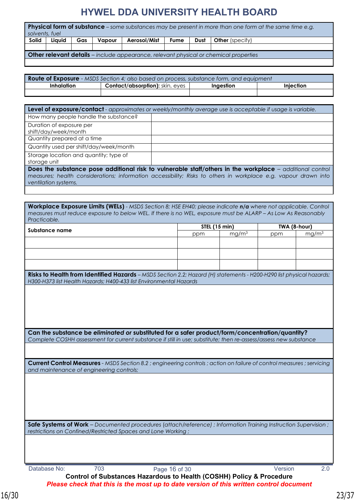| <b>Physical form of substance</b> - some substances may be present in more than one form at the same time e.g.<br>solvents, fuel |        |     |               |              |                                                      |  |  |  |
|----------------------------------------------------------------------------------------------------------------------------------|--------|-----|---------------|--------------|------------------------------------------------------|--|--|--|
| Solid                                                                                                                            | Liauid | Gas | <b>Vapour</b> | Aerosol/Mist | <b>Other</b> (specify)<br><b>Dust</b><br><b>Fume</b> |  |  |  |
|                                                                                                                                  |        |     |               |              |                                                      |  |  |  |
| <b>Other relevant details</b> – include appearance, relevant physical or chemical properties                                     |        |     |               |              |                                                      |  |  |  |
|                                                                                                                                  |        |     |               |              |                                                      |  |  |  |

| <b>Route of Exposure</b> - MSDS Section 4; also based on process, substance form, and equipment |  |  |  |  |  |  |
|-------------------------------------------------------------------------------------------------|--|--|--|--|--|--|
| <b>Contact/absorption):</b> skin, eyes<br><b>Injection</b><br>Inhalation<br><b>Ingestion</b>    |  |  |  |  |  |  |
|                                                                                                 |  |  |  |  |  |  |

| Level of exposure/contact - approximates or weekly/monthly average use is acceptable if usage is variable. |                                                                                                                                                                                                                             |  |  |  |  |  |
|------------------------------------------------------------------------------------------------------------|-----------------------------------------------------------------------------------------------------------------------------------------------------------------------------------------------------------------------------|--|--|--|--|--|
| How many people handle the substance?                                                                      |                                                                                                                                                                                                                             |  |  |  |  |  |
| Duration of exposure per<br>shift/day/week/month                                                           |                                                                                                                                                                                                                             |  |  |  |  |  |
| Quantity prepared at a time                                                                                |                                                                                                                                                                                                                             |  |  |  |  |  |
| Quantity used per shift/day/week/month                                                                     |                                                                                                                                                                                                                             |  |  |  |  |  |
| Storage location and quantity; type of<br>storage unit                                                     |                                                                                                                                                                                                                             |  |  |  |  |  |
| ventilation systems.                                                                                       | Does the substance pose additional risk to vulnerable staff/others in the workplace - additional control<br>measures; health considerations; information accessibility; Risks to others in workplace e.g. vapour drawn into |  |  |  |  |  |

| Practicable.                             |     | Workplace Exposure Limits (WELs) - MSDS Section 8; HSE EH40; please indicate n/a where not applicable. Control<br>measures must reduce exposure to below WEL. If there is no WEL, exposure must be ALARP - As Low As Reasonably |                      |         |                   |  |  |
|------------------------------------------|-----|---------------------------------------------------------------------------------------------------------------------------------------------------------------------------------------------------------------------------------|----------------------|---------|-------------------|--|--|
|                                          |     |                                                                                                                                                                                                                                 | <b>STEL (15 min)</b> |         | TWA (8-hour)      |  |  |
| Substance name                           |     | ppm                                                                                                                                                                                                                             | mg/m <sup>3</sup>    | ppm     | mg/m <sup>3</sup> |  |  |
|                                          |     |                                                                                                                                                                                                                                 |                      |         |                   |  |  |
|                                          |     |                                                                                                                                                                                                                                 |                      |         |                   |  |  |
|                                          |     |                                                                                                                                                                                                                                 |                      |         |                   |  |  |
|                                          |     |                                                                                                                                                                                                                                 |                      |         |                   |  |  |
|                                          |     | Risks to Health from Identified Hazards - MSDS Section 2.2; Hazard (H) statements - H200-H290 list physical hazards;<br>H300-H373 list Health Hazards; H400-433 list Environmental Hazards                                      |                      |         |                   |  |  |
|                                          |     |                                                                                                                                                                                                                                 |                      |         |                   |  |  |
|                                          |     |                                                                                                                                                                                                                                 |                      |         |                   |  |  |
|                                          |     |                                                                                                                                                                                                                                 |                      |         |                   |  |  |
|                                          |     |                                                                                                                                                                                                                                 |                      |         |                   |  |  |
|                                          |     |                                                                                                                                                                                                                                 |                      |         |                   |  |  |
|                                          |     |                                                                                                                                                                                                                                 |                      |         |                   |  |  |
|                                          |     | Can the substance be eliminated or substituted for a safer product/form/concentration/quantity?                                                                                                                                 |                      |         |                   |  |  |
|                                          |     | Complete COSHH assessment for current substance if still in use; substitute; then re-assess/assess new substance                                                                                                                |                      |         |                   |  |  |
|                                          |     |                                                                                                                                                                                                                                 |                      |         |                   |  |  |
|                                          |     |                                                                                                                                                                                                                                 |                      |         |                   |  |  |
|                                          |     | <b>Current Control Measures</b> - MSDS Section 8.2; engineering controls; action on failure of control measures; servicing                                                                                                      |                      |         |                   |  |  |
| and maintenance of engineering controls; |     |                                                                                                                                                                                                                                 |                      |         |                   |  |  |
|                                          |     |                                                                                                                                                                                                                                 |                      |         |                   |  |  |
|                                          |     |                                                                                                                                                                                                                                 |                      |         |                   |  |  |
|                                          |     |                                                                                                                                                                                                                                 |                      |         |                   |  |  |
|                                          |     |                                                                                                                                                                                                                                 |                      |         |                   |  |  |
|                                          |     |                                                                                                                                                                                                                                 |                      |         |                   |  |  |
|                                          |     |                                                                                                                                                                                                                                 |                      |         |                   |  |  |
|                                          |     | Safe Systems of Work - Documented procedures (attach/reference) ; Information Training Instruction Supervision ;                                                                                                                |                      |         |                   |  |  |
|                                          |     | restrictions on Confined/Restricted Spaces and Lone Working;                                                                                                                                                                    |                      |         |                   |  |  |
|                                          |     |                                                                                                                                                                                                                                 |                      |         |                   |  |  |
|                                          |     |                                                                                                                                                                                                                                 |                      |         |                   |  |  |
|                                          |     |                                                                                                                                                                                                                                 |                      |         |                   |  |  |
|                                          |     |                                                                                                                                                                                                                                 |                      |         |                   |  |  |
| Database No:                             | 703 | Page 16 of 30                                                                                                                                                                                                                   |                      | Version | 2.0               |  |  |

**Control of Substances Hazardous to Health (COSHH) Policy & Procedure** *Please check that this is the most up to date version of this written control document*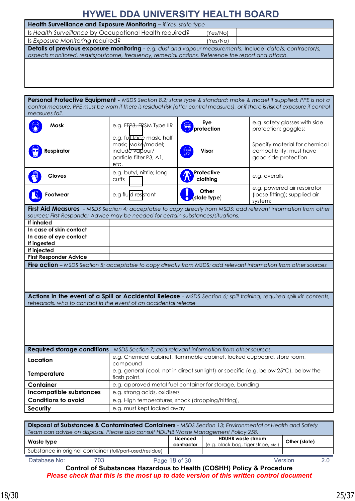| Health Surveillance and Exposure Monitoring - if Yes, state type                                  |              |                                       | <u>MIWEL DDA UNIVERSITI HEALTH BUARD</u>                |                                                                                                                                  |
|---------------------------------------------------------------------------------------------------|--------------|---------------------------------------|---------------------------------------------------------|----------------------------------------------------------------------------------------------------------------------------------|
| Is Health Surveillance by Occupational Health required?                                           |              |                                       | (Yes/No)                                                |                                                                                                                                  |
| Is Exposure Monitoring required?                                                                  |              |                                       | (Yes/No)                                                |                                                                                                                                  |
|                                                                                                   |              |                                       |                                                         | Details of previous exposure monitoring - e.g. dust and vapour measurements. Include: date/s, contractor/s,                      |
| aspects monitored, results/outcome, frequency, remedial actions. Reference the report and attach. |              |                                       |                                                         |                                                                                                                                  |
|                                                                                                   |              |                                       |                                                         |                                                                                                                                  |
|                                                                                                   |              |                                       |                                                         |                                                                                                                                  |
|                                                                                                   |              |                                       |                                                         |                                                                                                                                  |
|                                                                                                   |              |                                       |                                                         |                                                                                                                                  |
|                                                                                                   |              |                                       |                                                         |                                                                                                                                  |
|                                                                                                   |              |                                       |                                                         | Personal Protective Equipment - MSDS Section 8.2; state type & standard; make & model if supplied; PPE is not a                  |
|                                                                                                   |              |                                       |                                                         | control measure; PPE must be worn if there is residual risk (after control measures), or if there is risk of exposure if control |
| measures fail.                                                                                    |              |                                       |                                                         |                                                                                                                                  |
| Mask                                                                                              |              | e.g. FF <del>P3, FR</del> SM Type IIR | Eye                                                     | e.g. safety glasses with side                                                                                                    |
|                                                                                                   |              |                                       | protection                                              | protection; goggles;                                                                                                             |
|                                                                                                   |              | e.g. full tace mask, half             |                                                         |                                                                                                                                  |
| <b>Respirator</b>                                                                                 |              | mask; Make/model;<br>include vapour/  | <b>Visor</b>                                            | Specify material for chemical<br>compatibility; must have                                                                        |
|                                                                                                   |              | particle filter P3, A1,               |                                                         | good side protection                                                                                                             |
|                                                                                                   | etc.         |                                       |                                                         |                                                                                                                                  |
| Gloves                                                                                            |              | e.g. butyl, nitrile; long             | Protective                                              | e.g. overalls                                                                                                                    |
|                                                                                                   | cuffs        |                                       | clothing                                                |                                                                                                                                  |
|                                                                                                   |              |                                       | Other                                                   | e.g. powered air respirator                                                                                                      |
| Footwear                                                                                          |              | e.g fluid resistant                   | (state type)                                            | (loose fitting); supplied air                                                                                                    |
|                                                                                                   |              |                                       |                                                         | system;                                                                                                                          |
| sources; First Responder Advice may be needed for certain substances/situations.                  |              |                                       |                                                         | <b>First Aid Measures</b> - MSDS Section 4; acceptable to copy directly from MSDS; add relevant information from other           |
| If inhaled                                                                                        |              |                                       |                                                         |                                                                                                                                  |
| In case of skin contact                                                                           |              |                                       |                                                         |                                                                                                                                  |
| In case of eye contact                                                                            |              |                                       |                                                         |                                                                                                                                  |
| If ingested                                                                                       |              |                                       |                                                         |                                                                                                                                  |
| If injected                                                                                       |              |                                       |                                                         |                                                                                                                                  |
| <b>First Responder Advice</b>                                                                     |              |                                       |                                                         |                                                                                                                                  |
|                                                                                                   |              |                                       |                                                         | <b>Fire action</b> – MSDS Section 5; acceptable to copy directly from MSDS; add relevant information from other sources          |
|                                                                                                   |              |                                       |                                                         |                                                                                                                                  |
|                                                                                                   |              |                                       |                                                         |                                                                                                                                  |
|                                                                                                   |              |                                       |                                                         | Actions in the event of a Spill or Accidental Release - MSDS Section 6; spill training, required spill kit contents,             |
| rehearsals, who to contact in the event of an accidental release                                  |              |                                       |                                                         |                                                                                                                                  |
|                                                                                                   |              |                                       |                                                         |                                                                                                                                  |
|                                                                                                   |              |                                       |                                                         |                                                                                                                                  |
|                                                                                                   |              |                                       |                                                         |                                                                                                                                  |
|                                                                                                   |              |                                       |                                                         |                                                                                                                                  |
|                                                                                                   |              |                                       |                                                         |                                                                                                                                  |
| <b>Required storage conditions</b> - MSDS Section 7; add relevant information from other sources. |              |                                       |                                                         |                                                                                                                                  |
| Location                                                                                          |              |                                       |                                                         | e.g. Chemical cabinet, flammable cabinet, locked cupboard, store room,                                                           |
|                                                                                                   | compound     |                                       |                                                         |                                                                                                                                  |
| <b>Temperature</b>                                                                                |              |                                       |                                                         | e.g. general (cool, not in direct sunlight) or specific (e.g. below 25°C), below the                                             |
| Container                                                                                         | flash point. |                                       | e.g. approved metal fuel container for storage, bunding |                                                                                                                                  |
| Incompatible substances                                                                           |              | e.g. strong acids, oxidisers          |                                                         |                                                                                                                                  |
| <b>Conditions to avoid</b>                                                                        |              |                                       | e.g. High temperatures, shock (dropping/hitting),       |                                                                                                                                  |
| <b>Security</b>                                                                                   |              | e.g. must kept locked away            |                                                         |                                                                                                                                  |
|                                                                                                   |              |                                       |                                                         |                                                                                                                                  |
|                                                                                                   |              |                                       |                                                         |                                                                                                                                  |
|                                                                                                   |              |                                       |                                                         | Disposal of Substances & Contaminated Containers - MSDS Section 13; Environmental or Health and Safety                           |

|                                                          |     |                        | Team can advise on disposal. Please also consult HDUHB Waste Management Policy 258. |               |     |
|----------------------------------------------------------|-----|------------------------|-------------------------------------------------------------------------------------|---------------|-----|
| Waste type                                               |     | Licenced<br>contractor | <b>HDUHB</b> waste stream<br>(e.g. black bag, tiger stripe, etc.)                   | Other (state) |     |
| Substance in original container (full/part-used/residue) |     |                        |                                                                                     |               |     |
| Database No:                                             | 703 | Page 18 of 30          |                                                                                     | Version       | 2.0 |

**Control of Substances Hazardous to Health (COSHH) Policy & Procedure** *Please check that this is the most up to date version of this written control document*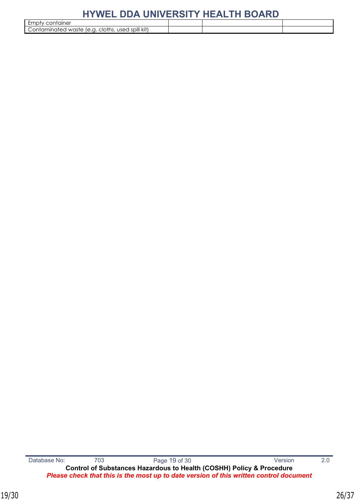| ainer .<br>$\sim$<br>--                                                                    |  |  |
|--------------------------------------------------------------------------------------------|--|--|
| spill<br>.<br>kıt<br>used<br>tamına<br>cloths,<br>waste<br>utec<br>$\sim$<br>≏<br>.<br>. . |  |  |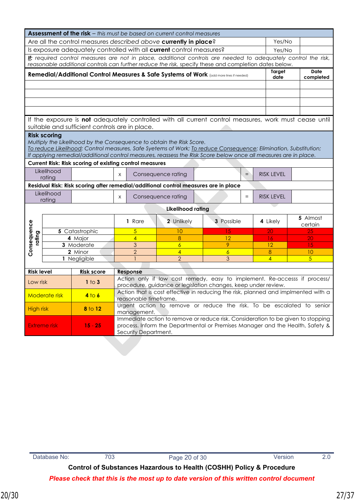|                   |                                                                                | <b>Assessment of the risk</b> - this must be based on current control measures                                                                                                          |   |                       |                                                                                                                                                                   |  |                     |     |                     |  |                          |
|-------------------|--------------------------------------------------------------------------------|-----------------------------------------------------------------------------------------------------------------------------------------------------------------------------------------|---|-----------------------|-------------------------------------------------------------------------------------------------------------------------------------------------------------------|--|---------------------|-----|---------------------|--|--------------------------|
|                   | Are all the control measures described above currently in place?<br>Yes/No     |                                                                                                                                                                                         |   |                       |                                                                                                                                                                   |  |                     |     |                     |  |                          |
|                   | Is exposure adequately controlled with all current control measures?<br>Yes/No |                                                                                                                                                                                         |   |                       |                                                                                                                                                                   |  |                     |     |                     |  |                          |
|                   |                                                                                | If: required control measures are not in place, additional controls are needed to adequately control the risk,                                                                          |   |                       |                                                                                                                                                                   |  |                     |     |                     |  |                          |
|                   |                                                                                | reasonable additional controls can further reduce the risk, specify these and completion dates below.                                                                                   |   |                       |                                                                                                                                                                   |  |                     |     |                     |  |                          |
|                   |                                                                                | Remedial/Additional Control Measures & Safe Systems of Work (add more lines if needed)                                                                                                  |   |                       |                                                                                                                                                                   |  |                     |     | Target<br>date      |  | <b>Date</b><br>completed |
|                   |                                                                                |                                                                                                                                                                                         |   |                       |                                                                                                                                                                   |  |                     |     |                     |  |                          |
|                   |                                                                                |                                                                                                                                                                                         |   |                       |                                                                                                                                                                   |  |                     |     |                     |  |                          |
|                   |                                                                                |                                                                                                                                                                                         |   |                       |                                                                                                                                                                   |  |                     |     |                     |  |                          |
|                   |                                                                                |                                                                                                                                                                                         |   |                       |                                                                                                                                                                   |  |                     |     |                     |  |                          |
|                   |                                                                                | If the exposure is not adequately controlled with all current control measures, work must cease until                                                                                   |   |                       |                                                                                                                                                                   |  |                     |     |                     |  |                          |
|                   |                                                                                | suitable and sufficient controls are in place.                                                                                                                                          |   |                       |                                                                                                                                                                   |  |                     |     |                     |  |                          |
|                   | <b>Risk scoring</b>                                                            |                                                                                                                                                                                         |   |                       |                                                                                                                                                                   |  |                     |     |                     |  |                          |
|                   |                                                                                | Multiply the Likelihood by the Consequence to obtain the Risk Score.<br>To reduce Likelihood: Control measures, Safe Syetems of Work; To reduce Consequence: Elimination, Substitution; |   |                       |                                                                                                                                                                   |  |                     |     |                     |  |                          |
|                   |                                                                                | If applying remedial/additional control measures, reassess the Risk Score below once all measures are in place.                                                                         |   |                       |                                                                                                                                                                   |  |                     |     |                     |  |                          |
|                   |                                                                                | Current Risk: Risk scoring of existing control measures                                                                                                                                 |   |                       |                                                                                                                                                                   |  |                     |     |                     |  |                          |
|                   | Likelihood                                                                     |                                                                                                                                                                                         |   |                       |                                                                                                                                                                   |  |                     | $=$ |                     |  |                          |
|                   | rating                                                                         |                                                                                                                                                                                         | X |                       | Consequence rating                                                                                                                                                |  |                     |     | <b>RISK LEVEL</b>   |  |                          |
|                   |                                                                                | Residual Risk: Risk scoring after remedial/additional control measures are in place                                                                                                     |   |                       |                                                                                                                                                                   |  |                     |     |                     |  |                          |
|                   | Likelihood<br>rating                                                           |                                                                                                                                                                                         | X |                       | Consequence rating                                                                                                                                                |  |                     | $=$ | <b>RISK LEVEL</b>   |  |                          |
|                   |                                                                                |                                                                                                                                                                                         |   |                       | Likelihood rating                                                                                                                                                 |  |                     |     |                     |  |                          |
| Consequence       |                                                                                |                                                                                                                                                                                         |   | 1 Rare                | 2 Unlikely                                                                                                                                                        |  | 3 Possible          |     | 4 Likely            |  | 5 Almost<br>certain      |
|                   |                                                                                | 5 Catastrophic                                                                                                                                                                          |   | 5                     | 10                                                                                                                                                                |  | 15                  |     | 20                  |  | 25                       |
| rating            |                                                                                | 4 Major                                                                                                                                                                                 |   | $\overline{4}$        | 8                                                                                                                                                                 |  | 12                  |     | 16                  |  | 20                       |
|                   |                                                                                | 3 Moderate                                                                                                                                                                              |   | 3                     | 6                                                                                                                                                                 |  | 9                   |     | 12                  |  | 15                       |
|                   |                                                                                | 2 Minor<br>1 Negligible                                                                                                                                                                 |   | $\overline{2}$        | $\overline{4}$<br>$\overline{2}$                                                                                                                                  |  | $\overline{6}$<br>3 |     | 8<br>$\overline{4}$ |  | 10<br>5                  |
|                   |                                                                                |                                                                                                                                                                                         |   |                       |                                                                                                                                                                   |  |                     |     |                     |  |                          |
| <b>Risk level</b> |                                                                                | <b>Risk score</b>                                                                                                                                                                       |   | Response              |                                                                                                                                                                   |  |                     |     |                     |  |                          |
| Low risk          |                                                                                | 1 to 3                                                                                                                                                                                  |   |                       | Action only if low cost remedy, easy to implement. Re-accesss if process/<br>procedure, guidance or legislation changes, keep under review.                       |  |                     |     |                     |  |                          |
|                   | <b>Moderate risk</b>                                                           | $4$ to 6                                                                                                                                                                                |   | reasonable timeframe. | Action that is cost effective in reducing the risk, planned and implmented with a                                                                                 |  |                     |     |                     |  |                          |
| <b>High risk</b>  |                                                                                | 8 to 12                                                                                                                                                                                 |   | management.           | Urgent action to remove or reduce the risk. To be escalated to senior                                                                                             |  |                     |     |                     |  |                          |
|                   | <b>Extreme risk</b>                                                            | $15 - 25$                                                                                                                                                                               |   | Security Department.  | Immediate action to remove or reduce risk. Consideration to be given to stopping<br>process. Inform the Departmental or Premises Manager and the Health, Safety & |  |                     |     |                     |  |                          |

**Control of Substances Hazardous to Health (COSHH) Policy & Procedure**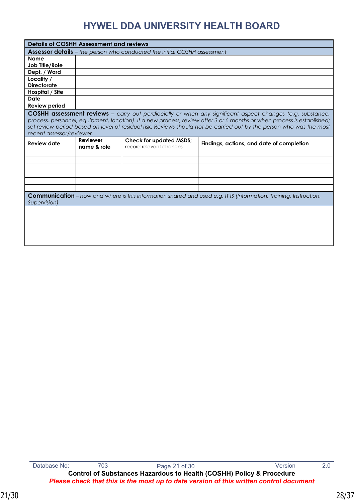| <b>Details of COSHH Assessment and reviews</b> |                                |                                                                                 |                                                                                                                          |
|------------------------------------------------|--------------------------------|---------------------------------------------------------------------------------|--------------------------------------------------------------------------------------------------------------------------|
|                                                |                                | <b>Assessor details</b> – the person who conducted the initial COSHH assessment |                                                                                                                          |
| <b>Name</b>                                    |                                |                                                                                 |                                                                                                                          |
| Job Title/Role                                 |                                |                                                                                 |                                                                                                                          |
| Dept. / Ward                                   |                                |                                                                                 |                                                                                                                          |
| Locality /                                     |                                |                                                                                 |                                                                                                                          |
| <b>Directorate</b>                             |                                |                                                                                 |                                                                                                                          |
| Hospital / Site                                |                                |                                                                                 |                                                                                                                          |
| Date                                           |                                |                                                                                 |                                                                                                                          |
| <b>Review period</b>                           |                                |                                                                                 |                                                                                                                          |
|                                                |                                |                                                                                 | <b>COSHH assessment reviews</b> - carry out perdiocially or when any significant aspect changes (e.g. substance,         |
|                                                |                                |                                                                                 | process, personnel, equipment, location). If a new process, review after 3 or 6 months or when process is established;   |
|                                                |                                |                                                                                 | set review period based on level of residual risk. Reviews should not be carried out by the person who was the most      |
|                                                |                                |                                                                                 |                                                                                                                          |
| recent assessor/reviewer.                      |                                |                                                                                 |                                                                                                                          |
| <b>Review date</b>                             | <b>Reviewer</b><br>name & role | <b>Check for updated MSDS:</b><br>record relevant changes                       | Findings, actions, and date of completion                                                                                |
|                                                |                                |                                                                                 |                                                                                                                          |
|                                                |                                |                                                                                 |                                                                                                                          |
|                                                |                                |                                                                                 |                                                                                                                          |
|                                                |                                |                                                                                 |                                                                                                                          |
|                                                |                                |                                                                                 |                                                                                                                          |
|                                                |                                |                                                                                 |                                                                                                                          |
| Supervision)                                   |                                |                                                                                 | <b>Communication</b> – how and where is this information shared and used e.g. IT IS (Information, Training, Instruction, |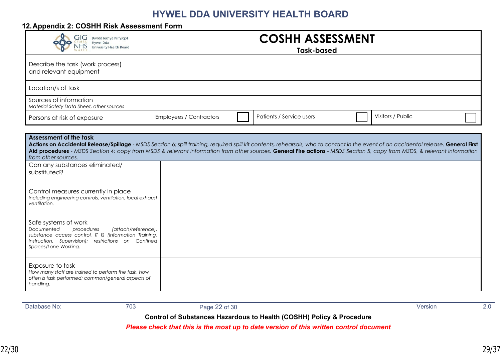#### **12.Appendix 2: COSHH Risk Assessment Form**

| JIG<br>Bwrdd Iechyd Prifysgol<br>Hywel Dda<br>University Health Board | <b>COSHH ASSESSMENT</b><br><b>Task-based</b> |                          |                   |  |  |
|-----------------------------------------------------------------------|----------------------------------------------|--------------------------|-------------------|--|--|
| Describe the task (work process)<br>and relevant equipment            |                                              |                          |                   |  |  |
| Location/s of task                                                    |                                              |                          |                   |  |  |
| Sources of information<br>Material Safety Data Sheet, other sources   |                                              |                          |                   |  |  |
| Persons at risk of exposure                                           | <b>Employees / Contractors</b>               | Patients / Service users | Visitors / Public |  |  |

<span id="page-28-0"></span>

| <b>Assessment of the task</b><br>from other sources.                                                                                                                                                             | <b>Actions on Accidental Release/Spillage</b> - MSDS Section 6; spill training, required spill kit contents, rehearsals, who to contact in the event of an accidental release. <b>General First</b><br>Aid procedures - MSDS Section 4; copy from MSDS & relevant information from other sources. General Fire actions - MSDS Section 5, copy from MSDS, & relevant information |
|------------------------------------------------------------------------------------------------------------------------------------------------------------------------------------------------------------------|---------------------------------------------------------------------------------------------------------------------------------------------------------------------------------------------------------------------------------------------------------------------------------------------------------------------------------------------------------------------------------|
| Can any substances eliminated/<br>substituted?                                                                                                                                                                   |                                                                                                                                                                                                                                                                                                                                                                                 |
| Control measures currently in place<br>Including engineering controls, ventilation, local exhaust<br>ventilation.                                                                                                |                                                                                                                                                                                                                                                                                                                                                                                 |
| Safe systems of work<br>Documented<br>(attach/reference),<br>procedures<br>substance access control, IT IS (Information Training,<br>Instruction, Supervision); restrictions on Confined<br>Spaces/Lone Working. |                                                                                                                                                                                                                                                                                                                                                                                 |
| <b>Exposure to task</b><br>How many staff are trained to perform the task, how<br>often is task performed; common/general aspects of<br>handling.                                                                |                                                                                                                                                                                                                                                                                                                                                                                 |

Database No: 703 Page 22 of 30 Version 2.0

**Control of Substances Hazardous to Health (COSHH) Policy & Procedure**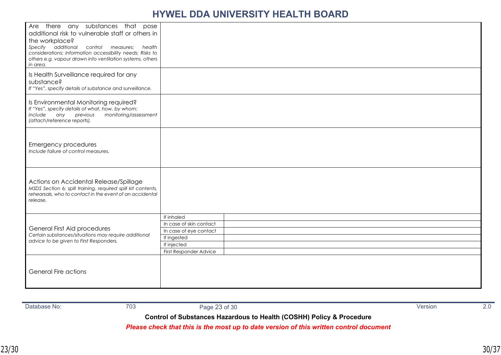| Are there any substances that pose<br>additional risk to vulnerable staff or others in<br>the workplace?<br>Specify additional<br>control measures;<br>health<br>considerations; information accessibility needs; Risks to<br>others e.g. vapour drawn into ventilation systems, others<br>in area. |                         |  |
|-----------------------------------------------------------------------------------------------------------------------------------------------------------------------------------------------------------------------------------------------------------------------------------------------------|-------------------------|--|
| Is Health Surveillance required for any<br>substance?<br>If "Yes", specify details of substance and surveillance.                                                                                                                                                                                   |                         |  |
| Is Environmental Monitoring required?<br>If "Yes", specify details of what, how, by whom;<br>previous<br>monitoring/assessment<br>include<br>any<br>(attach/reference reports).                                                                                                                     |                         |  |
| Emergency procedures<br>Include failure of control measures.                                                                                                                                                                                                                                        |                         |  |
| Actions on Accidental Release/Spillage<br>MSDS Section 6; spill training, required spill kit contents,<br>rehearsals, who to contact in the event of an accidental<br>release.                                                                                                                      |                         |  |
|                                                                                                                                                                                                                                                                                                     | If inhaled              |  |
|                                                                                                                                                                                                                                                                                                     | In case of skin contact |  |
| General First Aid procedures                                                                                                                                                                                                                                                                        | In case of eye contact  |  |
| Certain substances/situations may require additional                                                                                                                                                                                                                                                | If ingested             |  |
| advice to be given to First Responders.                                                                                                                                                                                                                                                             | If injected             |  |
|                                                                                                                                                                                                                                                                                                     | First Responder Advice  |  |
| General Fire actions                                                                                                                                                                                                                                                                                |                         |  |

Database No: 703 Page 23 of 30 Version 2.0

**Control of Substances Hazardous to Health (COSHH) Policy & Procedure**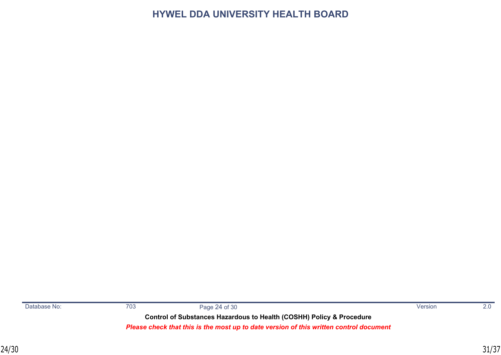| Database No: | 703 | Page 24 of 30                                                                          | Version | 2.0 <sub>1</sub> |
|--------------|-----|----------------------------------------------------------------------------------------|---------|------------------|
|              |     | <b>Control of Substances Hazardous to Health (COSHH) Policy &amp; Procedure</b>        |         |                  |
|              |     | Please check that this is the most up to date version of this written control document |         |                  |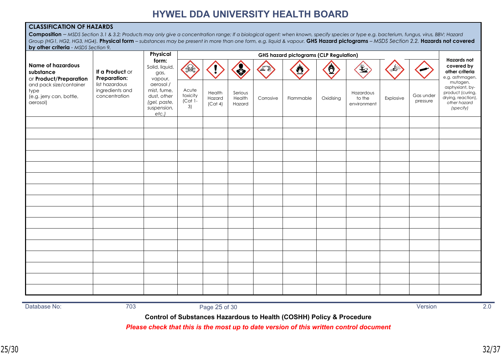#### **CLASSIFICATION OF HAZARDS**

Composition – *MSDS Section 3.1 & 3.2; Products may only give a concentration range; If a biological agent: when known, specify species or type e.g. bacterium, fungus, virus, BBV; Hazard* Group (HG1, HG2, HG3, HG4). Physical form - substances may be present in more than one form, e.g. liquid & vapour. GHS Hazard pictograms - MSDS Section 2.2. Hazards not covered **by other criteria** *- MSDS Section 9.*

|                                                                                                                                                                                | Physical                                                                       |                                            | <b>GHS hazard pictograms (CLP Regulation)</b> |                             |             |           |           |                                    |               |                       |                                                                                                    |                                                                       |
|--------------------------------------------------------------------------------------------------------------------------------------------------------------------------------|--------------------------------------------------------------------------------|--------------------------------------------|-----------------------------------------------|-----------------------------|-------------|-----------|-----------|------------------------------------|---------------|-----------------------|----------------------------------------------------------------------------------------------------|-----------------------------------------------------------------------|
| <b>Name of hazardous</b><br>substance                                                                                                                                          | If a Product or                                                                | form:<br>Solid, liquid,<br>gas,<br>vapour, | $rac{1}{2}$                                   | I                           | <b>City</b> | FRE       | 也         | $\Theta$                           | $\frac{4}{2}$ | $\frac{1}{2}$         |                                                                                                    | <b>Hazards not</b><br>covered by<br>other criteria<br>e.g. asthmagen, |
| <b>Preparation:</b><br>or Product/Preparation<br>list hazardous<br>and pack size/container<br>ingredients and<br>type<br>concentration<br>(e.g. jerry can, bottle,<br>aerosol) | aerosol /<br>mist, fume,<br>dust, other<br>(gel, paste,<br>suspension,<br>etc. | Acute<br>toxicity<br>$(Cat 1-$<br>3)       | Health<br>Hazard<br>(Cat 4)                   | Serious<br>Health<br>Hazard | Corrosive   | Flammable | Oxidising | Hazardous<br>to the<br>environment | Explosive     | Gas under<br>pressure | mutagen,<br>asphyxiant, by-<br>product (curing,<br>drying, reaction),<br>other hazard<br>(specify) |                                                                       |
|                                                                                                                                                                                |                                                                                |                                            |                                               |                             |             |           |           |                                    |               |                       |                                                                                                    |                                                                       |
|                                                                                                                                                                                |                                                                                |                                            |                                               |                             |             |           |           |                                    |               |                       |                                                                                                    |                                                                       |
|                                                                                                                                                                                |                                                                                |                                            |                                               |                             |             |           |           |                                    |               |                       |                                                                                                    |                                                                       |
|                                                                                                                                                                                |                                                                                |                                            |                                               |                             |             |           |           |                                    |               |                       |                                                                                                    |                                                                       |
|                                                                                                                                                                                |                                                                                |                                            |                                               |                             |             |           |           |                                    |               |                       |                                                                                                    |                                                                       |
|                                                                                                                                                                                |                                                                                |                                            |                                               |                             |             |           |           |                                    |               |                       |                                                                                                    |                                                                       |
|                                                                                                                                                                                |                                                                                |                                            |                                               |                             |             |           |           |                                    |               |                       |                                                                                                    |                                                                       |
|                                                                                                                                                                                |                                                                                |                                            |                                               |                             |             |           |           |                                    |               |                       |                                                                                                    |                                                                       |
|                                                                                                                                                                                |                                                                                |                                            |                                               |                             |             |           |           |                                    |               |                       |                                                                                                    |                                                                       |
|                                                                                                                                                                                |                                                                                |                                            |                                               |                             |             |           |           |                                    |               |                       |                                                                                                    |                                                                       |
|                                                                                                                                                                                |                                                                                |                                            |                                               |                             |             |           |           |                                    |               |                       |                                                                                                    |                                                                       |
|                                                                                                                                                                                |                                                                                |                                            |                                               |                             |             |           |           |                                    |               |                       |                                                                                                    |                                                                       |
|                                                                                                                                                                                |                                                                                |                                            |                                               |                             |             |           |           |                                    |               |                       |                                                                                                    |                                                                       |
|                                                                                                                                                                                |                                                                                |                                            |                                               |                             |             |           |           |                                    |               |                       |                                                                                                    |                                                                       |
|                                                                                                                                                                                |                                                                                |                                            |                                               |                             |             |           |           |                                    |               |                       |                                                                                                    |                                                                       |
|                                                                                                                                                                                |                                                                                |                                            |                                               |                             |             |           |           |                                    |               |                       |                                                                                                    |                                                                       |
|                                                                                                                                                                                |                                                                                |                                            |                                               |                             |             |           |           |                                    |               |                       |                                                                                                    |                                                                       |
| Database No:                                                                                                                                                                   | 703                                                                            |                                            |                                               | Page 25 of 30               |             |           |           |                                    |               |                       | Version                                                                                            |                                                                       |

**Control of Substances Hazardous to Health (COSHH) Policy & Procedure**

*Please check that this is the most up to date version of this written control document*

÷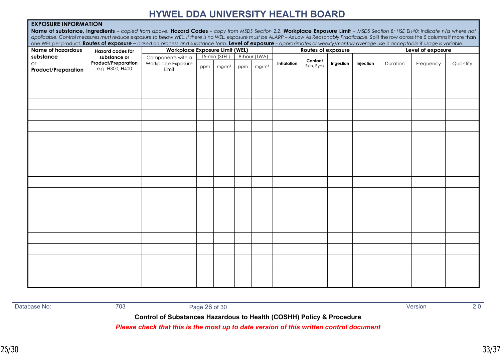#### **EXPOSURE INFORMATION**

**Name of substance, ingredients** *– copied from above.* **Hazard Codes** – *copy from MSDS Section 2.2*. **Workplace Exposure Limit** *– MSDS Section 8; HSE EH40; indicate n/a where not applicable. Control measures must reduce exposure to below WEL. If there is no WEL, exposure must be ALARP – As Low As Reasonably Practicable.* Split the row across the 5 columns if more than

|  | one WEL per product. Routes of exposure – based on process and substance form. Level of exposure – approximates or weekly/monthly average use is acceptable if usage is variable. |  |  |
|--|-----------------------------------------------------------------------------------------------------------------------------------------------------------------------------------|--|--|
|  |                                                                                                                                                                                   |  |  |

|                            | One meeper product. <b>Review of exposure</b> based on process and sobsidince form. Level or exposure reprovintancs or we exprimiting average ose is acceptable in osage is variable. |                                       |     |                   |     |                   |            |                              |           |           |          |                   |          |
|----------------------------|---------------------------------------------------------------------------------------------------------------------------------------------------------------------------------------|---------------------------------------|-----|-------------------|-----|-------------------|------------|------------------------------|-----------|-----------|----------|-------------------|----------|
| <b>Name of hazardous</b>   | <b>Hazard codes for</b>                                                                                                                                                               | <b>Workplace Exposure Limit (WEL)</b> |     |                   |     |                   |            | Routes of exposure           |           |           |          | Level of exposure |          |
| substance                  | substance or                                                                                                                                                                          | Components with a                     |     | 15-min (STEL)     |     | 8-hour (TWA)      |            |                              |           |           |          |                   |          |
| or                         | <b>Product/Preparation</b>                                                                                                                                                            | Workplace Exposure                    |     |                   |     |                   | Inhalation | <b>Contact</b><br>Skin, Eyes | Ingestion | Injection | Duration | Frequency         | Quantity |
|                            | e.g. H300, H400                                                                                                                                                                       | Limit                                 | ppm | mg/m <sup>3</sup> | ppm | mg/m <sup>3</sup> |            |                              |           |           |          |                   |          |
| <b>Product/Preparation</b> |                                                                                                                                                                                       |                                       |     |                   |     |                   |            |                              |           |           |          |                   |          |
|                            |                                                                                                                                                                                       |                                       |     |                   |     |                   |            |                              |           |           |          |                   |          |
|                            |                                                                                                                                                                                       |                                       |     |                   |     |                   |            |                              |           |           |          |                   |          |
|                            |                                                                                                                                                                                       |                                       |     |                   |     |                   |            |                              |           |           |          |                   |          |
|                            |                                                                                                                                                                                       |                                       |     |                   |     |                   |            |                              |           |           |          |                   |          |
|                            |                                                                                                                                                                                       |                                       |     |                   |     |                   |            |                              |           |           |          |                   |          |
|                            |                                                                                                                                                                                       |                                       |     |                   |     |                   |            |                              |           |           |          |                   |          |
|                            |                                                                                                                                                                                       |                                       |     |                   |     |                   |            |                              |           |           |          |                   |          |
|                            |                                                                                                                                                                                       |                                       |     |                   |     |                   |            |                              |           |           |          |                   |          |
|                            |                                                                                                                                                                                       |                                       |     |                   |     |                   |            |                              |           |           |          |                   |          |
|                            |                                                                                                                                                                                       |                                       |     |                   |     |                   |            |                              |           |           |          |                   |          |
|                            |                                                                                                                                                                                       |                                       |     |                   |     |                   |            |                              |           |           |          |                   |          |
|                            |                                                                                                                                                                                       |                                       |     |                   |     |                   |            |                              |           |           |          |                   |          |
|                            |                                                                                                                                                                                       |                                       |     |                   |     |                   |            |                              |           |           |          |                   |          |
|                            |                                                                                                                                                                                       |                                       |     |                   |     |                   |            |                              |           |           |          |                   |          |
|                            |                                                                                                                                                                                       |                                       |     |                   |     |                   |            |                              |           |           |          |                   |          |
|                            |                                                                                                                                                                                       |                                       |     |                   |     |                   |            |                              |           |           |          |                   |          |
|                            |                                                                                                                                                                                       |                                       |     |                   |     |                   |            |                              |           |           |          |                   |          |
|                            |                                                                                                                                                                                       |                                       |     |                   |     |                   |            |                              |           |           |          |                   |          |
|                            |                                                                                                                                                                                       |                                       |     |                   |     |                   |            |                              |           |           |          |                   |          |
|                            |                                                                                                                                                                                       |                                       |     |                   |     |                   |            |                              |           |           |          |                   |          |
|                            |                                                                                                                                                                                       |                                       |     |                   |     |                   |            |                              |           |           |          |                   |          |
|                            |                                                                                                                                                                                       |                                       |     |                   |     |                   |            |                              |           |           |          |                   |          |
|                            |                                                                                                                                                                                       |                                       |     |                   |     |                   |            |                              |           |           |          |                   |          |
|                            |                                                                                                                                                                                       |                                       |     |                   |     |                   |            |                              |           |           |          |                   |          |
|                            |                                                                                                                                                                                       |                                       |     |                   |     |                   |            |                              |           |           |          |                   |          |
|                            |                                                                                                                                                                                       |                                       |     |                   |     |                   |            |                              |           |           |          |                   |          |
|                            |                                                                                                                                                                                       |                                       |     |                   |     |                   |            |                              |           |           |          |                   |          |
|                            |                                                                                                                                                                                       |                                       |     |                   |     |                   |            |                              |           |           |          |                   |          |
|                            |                                                                                                                                                                                       |                                       |     |                   |     |                   |            |                              |           |           |          |                   |          |
|                            |                                                                                                                                                                                       |                                       |     |                   |     |                   |            |                              |           |           |          |                   |          |
|                            |                                                                                                                                                                                       |                                       |     |                   |     |                   |            |                              |           |           |          |                   |          |
|                            |                                                                                                                                                                                       |                                       |     |                   |     |                   |            |                              |           |           |          |                   |          |
|                            |                                                                                                                                                                                       |                                       |     |                   |     |                   |            |                              |           |           |          |                   |          |
|                            |                                                                                                                                                                                       |                                       |     |                   |     |                   |            |                              |           |           |          |                   |          |
|                            |                                                                                                                                                                                       |                                       |     |                   |     |                   |            |                              |           |           |          |                   |          |
|                            |                                                                                                                                                                                       |                                       |     |                   |     |                   |            |                              |           |           |          |                   |          |
|                            |                                                                                                                                                                                       |                                       |     |                   |     |                   |            |                              |           |           |          |                   |          |
|                            |                                                                                                                                                                                       |                                       |     |                   |     |                   |            |                              |           |           |          |                   |          |
|                            |                                                                                                                                                                                       |                                       |     |                   |     |                   |            |                              |           |           |          |                   |          |

Database No: 703 Page 26 of 30 Version 2.0

**Control of Substances Hazardous to Health (COSHH) Policy & Procedure**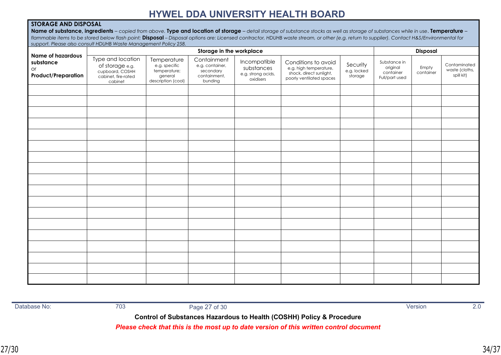#### **STORAGE AND DISPOSAL**

**Name of substance, ingredients** – *copied from above.* **Type and location of storage** – *detail storage of substance stocks as well as storage of substances while in use*. **Temperature** – *flammable items to be stored below flash point;* **Disposal** *– Disposal options are: Licensed contractor, HDUHB waste stream, or other (e.g. return to supplier). Contact H&S/Environmental for support. Please also consult HDUHB Waste Management Policy 258.*

|                                                                           |                                                                                           |                                                                               | Disposal                                                               |                                                               |                                                                                                      |                                    |                                                         |                    |                                              |
|---------------------------------------------------------------------------|-------------------------------------------------------------------------------------------|-------------------------------------------------------------------------------|------------------------------------------------------------------------|---------------------------------------------------------------|------------------------------------------------------------------------------------------------------|------------------------------------|---------------------------------------------------------|--------------------|----------------------------------------------|
| <b>Name of hazardous</b><br>substance<br>or<br><b>Product/Preparation</b> | Type and location<br>of storage e.g.<br>cupboard, COSHH<br>cabinet, fire-rated<br>cabinet | Temperature<br>e.g. specific<br>temperature;<br>general<br>description (cool) | Containment<br>e.g. container,<br>secondary<br>containment,<br>bunding | Incompatible<br>substances<br>e.g. strong acids,<br>oxidisers | Conditions to avoid<br>e.g. high temperature,<br>shock, direct sunlight,<br>poorly ventilated spaces | Security<br>e.g. locked<br>storage | Substance in<br>original<br>container<br>Full/part used | Empty<br>container | Contaminated<br>waste (cloths,<br>spill kit) |
|                                                                           |                                                                                           |                                                                               |                                                                        |                                                               |                                                                                                      |                                    |                                                         |                    |                                              |
|                                                                           |                                                                                           |                                                                               |                                                                        |                                                               |                                                                                                      |                                    |                                                         |                    |                                              |
|                                                                           |                                                                                           |                                                                               |                                                                        |                                                               |                                                                                                      |                                    |                                                         |                    |                                              |
|                                                                           |                                                                                           |                                                                               |                                                                        |                                                               |                                                                                                      |                                    |                                                         |                    |                                              |
|                                                                           |                                                                                           |                                                                               |                                                                        |                                                               |                                                                                                      |                                    |                                                         |                    |                                              |
|                                                                           |                                                                                           |                                                                               |                                                                        |                                                               |                                                                                                      |                                    |                                                         |                    |                                              |
|                                                                           |                                                                                           |                                                                               |                                                                        |                                                               |                                                                                                      |                                    |                                                         |                    |                                              |
|                                                                           |                                                                                           |                                                                               |                                                                        |                                                               |                                                                                                      |                                    |                                                         |                    |                                              |
|                                                                           |                                                                                           |                                                                               |                                                                        |                                                               |                                                                                                      |                                    |                                                         |                    |                                              |
|                                                                           |                                                                                           |                                                                               |                                                                        |                                                               |                                                                                                      |                                    |                                                         |                    |                                              |
|                                                                           |                                                                                           |                                                                               |                                                                        |                                                               |                                                                                                      |                                    |                                                         |                    |                                              |
|                                                                           |                                                                                           |                                                                               |                                                                        |                                                               |                                                                                                      |                                    |                                                         |                    |                                              |
|                                                                           |                                                                                           |                                                                               |                                                                        |                                                               |                                                                                                      |                                    |                                                         |                    |                                              |
|                                                                           |                                                                                           |                                                                               |                                                                        |                                                               |                                                                                                      |                                    |                                                         |                    |                                              |
|                                                                           |                                                                                           |                                                                               |                                                                        |                                                               |                                                                                                      |                                    |                                                         |                    |                                              |
|                                                                           |                                                                                           |                                                                               |                                                                        |                                                               |                                                                                                      |                                    |                                                         |                    |                                              |
|                                                                           |                                                                                           |                                                                               |                                                                        |                                                               |                                                                                                      |                                    |                                                         |                    |                                              |
|                                                                           |                                                                                           |                                                                               |                                                                        |                                                               |                                                                                                      |                                    |                                                         |                    |                                              |

Database No: 703 Page 27 of 30 Version 2.0

**Control of Substances Hazardous to Health (COSHH) Policy & Procedure**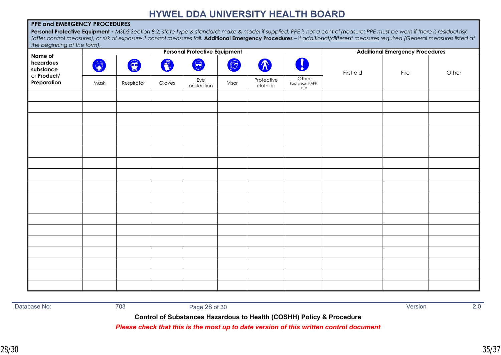#### **PPE and EMERGENCY PROCEDURES**

Personal Protective Equipment - *MSDS* Section 8.2; state type & standard; make & model if supplied; PPE is not a control measure; PPE must be worn if there is residual risk *(after control measures), or risk of exposure if control measures fail. Additional Emergency Procedures – if additional/different measures required (General measures listed at the beginning of the form).*

|                                   |            |            |            | <b>Personal Protective Equipment</b> | <b>Additional Emergency Procedures</b> |                        |                                 |           |      |       |
|-----------------------------------|------------|------------|------------|--------------------------------------|----------------------------------------|------------------------|---------------------------------|-----------|------|-------|
| Name of<br>hazardous<br>substance | $\bigodot$ | 8          | <b>NHS</b> | $\bigodot$                           | E                                      | 1                      | $\boldsymbol{0}$                | First aid | Fire | Other |
| or Product/<br>Preparation        | Mask       | Respirator | Gloves     | Eye<br>protection                    | Visor                                  | Protective<br>clothing | Other<br>Footwear, PAPR,<br>etc |           |      |       |
|                                   |            |            |            |                                      |                                        |                        |                                 |           |      |       |
|                                   |            |            |            |                                      |                                        |                        |                                 |           |      |       |
|                                   |            |            |            |                                      |                                        |                        |                                 |           |      |       |
|                                   |            |            |            |                                      |                                        |                        |                                 |           |      |       |
|                                   |            |            |            |                                      |                                        |                        |                                 |           |      |       |
|                                   |            |            |            |                                      |                                        |                        |                                 |           |      |       |
|                                   |            |            |            |                                      |                                        |                        |                                 |           |      |       |
|                                   |            |            |            |                                      |                                        |                        |                                 |           |      |       |
|                                   |            |            |            |                                      |                                        |                        |                                 |           |      |       |
|                                   |            |            |            |                                      |                                        |                        |                                 |           |      |       |
|                                   |            |            |            |                                      |                                        |                        |                                 |           |      |       |
|                                   |            |            |            |                                      |                                        |                        |                                 |           |      |       |
|                                   |            |            |            |                                      |                                        |                        |                                 |           |      |       |
|                                   |            |            |            |                                      |                                        |                        |                                 |           |      |       |
|                                   |            |            |            |                                      |                                        |                        |                                 |           |      |       |
|                                   |            |            |            |                                      |                                        |                        |                                 |           |      |       |
|                                   |            |            |            |                                      |                                        |                        |                                 |           |      |       |
|                                   |            |            |            |                                      |                                        |                        |                                 |           |      |       |

Database No: 703 Page 28 of 30 Version 2.0

**Control of Substances Hazardous to Health (COSHH) Policy & Procedure**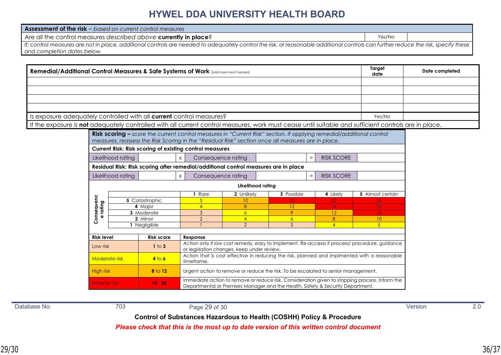|                                                                                        |                                                                                     |                                                                                                                                                      |                |                    |                                  | <b>HYWEL DDA UNIVERSITY HEALTH BOARD</b> |                   |                      |                                                                                                                                                                                    |  |
|----------------------------------------------------------------------------------------|-------------------------------------------------------------------------------------|------------------------------------------------------------------------------------------------------------------------------------------------------|----------------|--------------------|----------------------------------|------------------------------------------|-------------------|----------------------|------------------------------------------------------------------------------------------------------------------------------------------------------------------------------------|--|
|                                                                                        |                                                                                     | Assessment of the risk - based on current control measures                                                                                           |                |                    |                                  |                                          |                   |                      |                                                                                                                                                                                    |  |
| Are all the control measures described above currently in place?                       |                                                                                     | Yes/No                                                                                                                                               |                |                    |                                  |                                          |                   |                      |                                                                                                                                                                                    |  |
| and completion dates below.                                                            |                                                                                     |                                                                                                                                                      |                |                    |                                  |                                          |                   |                      | If: control measures are not in place, additional controls are needed to adequately control the risk, or reasonable additional controls can further reduce the risk, specify these |  |
|                                                                                        |                                                                                     |                                                                                                                                                      |                |                    |                                  |                                          |                   |                      |                                                                                                                                                                                    |  |
| Remedial/Additional Control Measures & Safe Systems of Work (add more lines if needed) |                                                                                     | Target<br>date                                                                                                                                       | Date completed |                    |                                  |                                          |                   |                      |                                                                                                                                                                                    |  |
|                                                                                        |                                                                                     |                                                                                                                                                      |                |                    |                                  |                                          |                   |                      |                                                                                                                                                                                    |  |
|                                                                                        |                                                                                     |                                                                                                                                                      |                |                    |                                  |                                          |                   |                      |                                                                                                                                                                                    |  |
|                                                                                        |                                                                                     |                                                                                                                                                      |                |                    |                                  |                                          |                   |                      |                                                                                                                                                                                    |  |
|                                                                                        |                                                                                     | Is exposure adequately controlled with all <b>current</b> control measures?                                                                          |                |                    |                                  |                                          |                   | Yes/No               |                                                                                                                                                                                    |  |
|                                                                                        |                                                                                     | If the exposure is not adequately controlled with all current control measures, work must cease until suitable and sufficient controls are in place. |                |                    |                                  |                                          |                   |                      |                                                                                                                                                                                    |  |
|                                                                                        |                                                                                     | Risk scoring - score the current control measures in "Current Risk" section. If applying remedial/additional control                                 |                |                    |                                  |                                          |                   |                      |                                                                                                                                                                                    |  |
|                                                                                        |                                                                                     | measures, reassess the Risk Scoring in the "Residual Risk" section once all measures are in place.                                                   |                |                    |                                  |                                          |                   |                      |                                                                                                                                                                                    |  |
|                                                                                        |                                                                                     | Current Risk: Risk scoring of existing control measures                                                                                              |                |                    |                                  |                                          |                   |                      |                                                                                                                                                                                    |  |
|                                                                                        |                                                                                     | Likelihood rating                                                                                                                                    | $\times$       | Consequence rating |                                  | $=$                                      | <b>RISK SCORE</b> |                      |                                                                                                                                                                                    |  |
|                                                                                        | Residual Risk: Risk scoring after remedial/additional control measures are in place |                                                                                                                                                      |                |                    |                                  |                                          |                   |                      |                                                                                                                                                                                    |  |
|                                                                                        |                                                                                     | Likelihood rating<br>Consequence rating<br><b>RISK SCORE</b><br>$=$<br>$\times$                                                                      |                |                    |                                  |                                          |                   |                      |                                                                                                                                                                                    |  |
|                                                                                        |                                                                                     | Likelihood rating                                                                                                                                    |                |                    |                                  |                                          |                   |                      |                                                                                                                                                                                    |  |
|                                                                                        |                                                                                     |                                                                                                                                                      |                | 1 Rare             | 2 Unlikely                       | 3 Possible                               | 4 Likely          | 5 Almost certain     |                                                                                                                                                                                    |  |
|                                                                                        |                                                                                     | 5 Catastrophic                                                                                                                                       |                |                    | 10 <sup>°</sup>                  | 15 <sub>1</sub>                          | 20 <sup>°</sup>   | 25                   |                                                                                                                                                                                    |  |
|                                                                                        |                                                                                     | 4 Major                                                                                                                                              |                |                    | 8                                | 12                                       | 16 <sub>1</sub>   | 20                   |                                                                                                                                                                                    |  |
|                                                                                        |                                                                                     |                                                                                                                                                      |                |                    |                                  |                                          | 12 <sup>°</sup>   |                      |                                                                                                                                                                                    |  |
|                                                                                        |                                                                                     | 3 Moderate                                                                                                                                           |                | 3                  | 6                                | 9                                        |                   | 15                   |                                                                                                                                                                                    |  |
|                                                                                        | Consequenc<br>e rating                                                              | 2 Minor<br>1 Negligible                                                                                                                              |                | $\overline{2}$     | $\overline{4}$<br>$\overline{2}$ | $\overline{6}$<br>3                      | 8<br>$\mathbf{A}$ | 10<br>5 <sup>5</sup> |                                                                                                                                                                                    |  |

**Risk level Risk score Response** Low risk **1** to **3** Action only if low cost remedy, easy to implement. Re-accesss if process/ procedure, guidance or legislation changes, keep under review. Moderate risk **4** to **6** Action that is cost effective in reducing the risk, planned and implmented with a reasonable timeframe. High risk **8** to **12** Urgent action to remove or reduce the risk. To be escalated to senior management. **Extreme risk 15 - 25** Immediate action to remove or reduce risk. Consideration given to stopping process. Inform the Departmental or Premises Manager and the Health, Safety & Security Department.

Database No: 703 Page 29 of 30 Version 2.0

**Control of Substances Hazardous to Health (COSHH) Policy & Procedure**